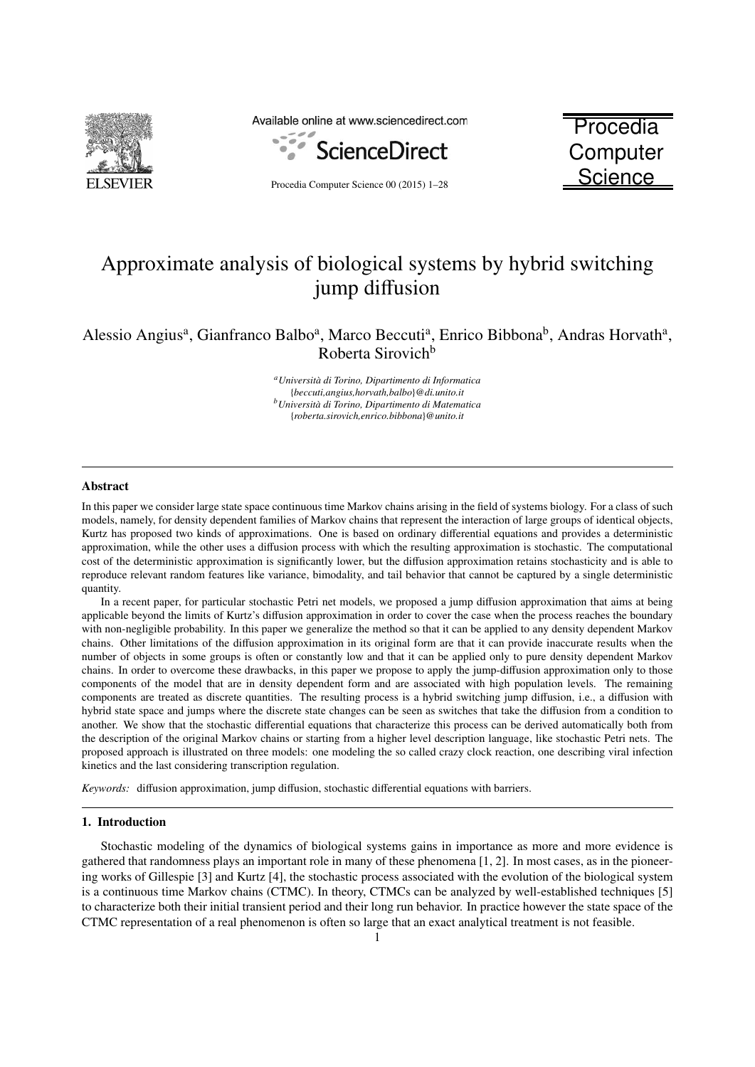

Available online at www.sciencedirect.com



Procedia Computer Science 00 (2015) 1–28

**Procedia Computer Science** 

# Approximate analysis of biological systems by hybrid switching jump diffusion

Alessio Angius<sup>a</sup>, Gianfranco Balbo<sup>a</sup>, Marco Beccuti<sup>a</sup>, Enrico Bibbona<sup>b</sup>, Andras Horvath<sup>a</sup>, Roberta Sirovich<sup>b</sup>

> *<sup>a</sup>Universit `a di Torino, Dipartimento di Informatica* {*beccuti,angius,horvath,balbo*}*@di.unito.it b*<sup>*b*</sup>Università di Torino, Dipartimento di Matematica {*roberta.sirovich,enrico.bibbona*}*@unito.it*

#### Abstract

In this paper we consider large state space continuous time Markov chains arising in the field of systems biology. For a class of such models, namely, for density dependent families of Markov chains that represent the interaction of large groups of identical objects, Kurtz has proposed two kinds of approximations. One is based on ordinary differential equations and provides a deterministic approximation, while the other uses a diffusion process with which the resulting approximation is stochastic. The computational cost of the deterministic approximation is significantly lower, but the diffusion approximation retains stochasticity and is able to reproduce relevant random features like variance, bimodality, and tail behavior that cannot be captured by a single deterministic quantity.

In a recent paper, for particular stochastic Petri net models, we proposed a jump diffusion approximation that aims at being applicable beyond the limits of Kurtz's diffusion approximation in order to cover the case when the process reaches the boundary with non-negligible probability. In this paper we generalize the method so that it can be applied to any density dependent Markov chains. Other limitations of the diffusion approximation in its original form are that it can provide inaccurate results when the number of objects in some groups is often or constantly low and that it can be applied only to pure density dependent Markov chains. In order to overcome these drawbacks, in this paper we propose to apply the jump-diffusion approximation only to those components of the model that are in density dependent form and are associated with high population levels. The remaining components are treated as discrete quantities. The resulting process is a hybrid switching jump diffusion, i.e., a diffusion with hybrid state space and jumps where the discrete state changes can be seen as switches that take the diffusion from a condition to another. We show that the stochastic differential equations that characterize this process can be derived automatically both from the description of the original Markov chains or starting from a higher level description language, like stochastic Petri nets. The proposed approach is illustrated on three models: one modeling the so called crazy clock reaction, one describing viral infection kinetics and the last considering transcription regulation.

*Keywords:* diffusion approximation, jump diffusion, stochastic differential equations with barriers.

#### 1. Introduction

Stochastic modeling of the dynamics of biological systems gains in importance as more and more evidence is gathered that randomness plays an important role in many of these phenomena [1, 2]. In most cases, as in the pioneering works of Gillespie [3] and Kurtz [4], the stochastic process associated with the evolution of the biological system is a continuous time Markov chains (CTMC). In theory, CTMCs can be analyzed by well-established techniques [5] to characterize both their initial transient period and their long run behavior. In practice however the state space of the CTMC representation of a real phenomenon is often so large that an exact analytical treatment is not feasible.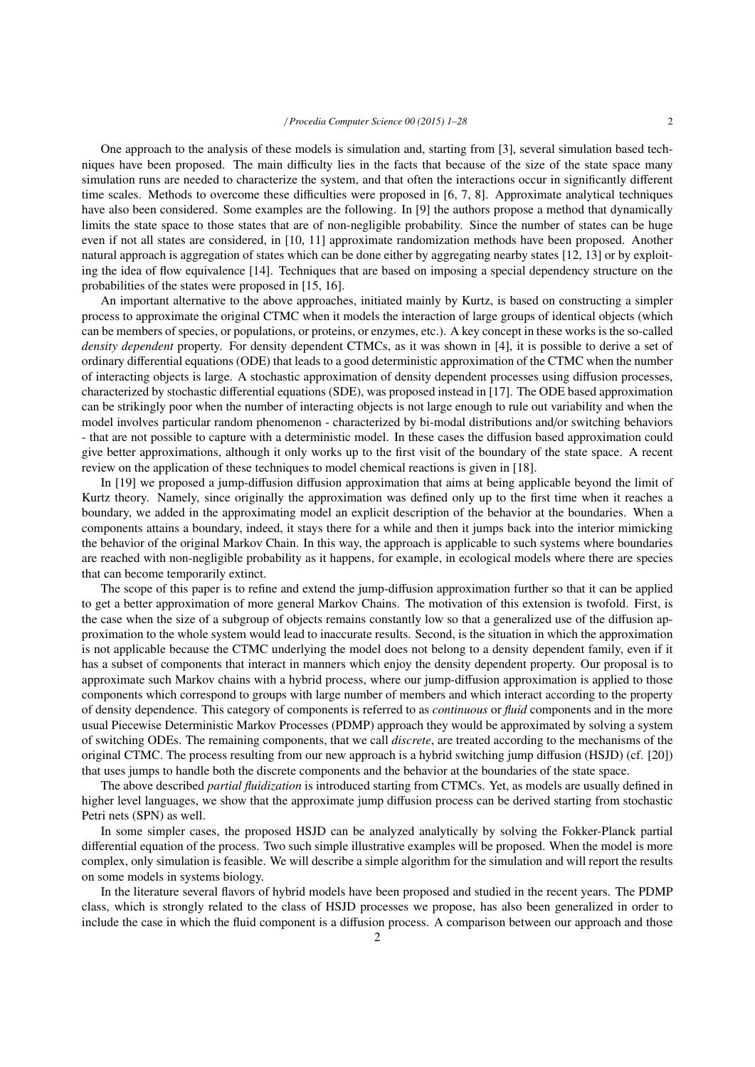One approach to the analysis of these models is simulation and, starting from [3], several simulation based techniques have been proposed. The main difficulty lies in the facts that because of the size of the state space many simulation runs are needed to characterize the system, and that often the interactions occur in significantly different time scales. Methods to overcome these difficulties were proposed in [6, 7, 8]. Approximate analytical techniques have also been considered. Some examples are the following. In [9] the authors propose a method that dynamically limits the state space to those states that are of non-negligible probability. Since the number of states can be huge even if not all states are considered, in [10, 11] approximate randomization methods have been proposed. Another natural approach is aggregation of states which can be done either by aggregating nearby states [12, 13] or by exploiting the idea of flow equivalence [14]. Techniques that are based on imposing a special dependency structure on the probabilities of the states were proposed in [15, 16].

An important alternative to the above approaches, initiated mainly by Kurtz, is based on constructing a simpler process to approximate the original CTMC when it models the interaction of large groups of identical objects (which can be members of species, or populations, or proteins, or enzymes, etc.). A key concept in these works is the so-called *density dependent* property. For density dependent CTMCs, as it was shown in [4], it is possible to derive a set of ordinary differential equations (ODE) that leads to a good deterministic approximation of the CTMC when the number of interacting objects is large. A stochastic approximation of density dependent processes using diffusion processes, characterized by stochastic differential equations (SDE), was proposed instead in [17]. The ODE based approximation can be strikingly poor when the number of interacting objects is not large enough to rule out variability and when the model involves particular random phenomenon - characterized by bi-modal distributions and/or switching behaviors - that are not possible to capture with a deterministic model. In these cases the diffusion based approximation could give better approximations, although it only works up to the first visit of the boundary of the state space. A recent review on the application of these techniques to model chemical reactions is given in [18].

In [19] we proposed a jump-diffusion diffusion approximation that aims at being applicable beyond the limit of Kurtz theory. Namely, since originally the approximation was defined only up to the first time when it reaches a boundary, we added in the approximating model an explicit description of the behavior at the boundaries. When a components attains a boundary, indeed, it stays there for a while and then it jumps back into the interior mimicking the behavior of the original Markov Chain. In this way, the approach is applicable to such systems where boundaries are reached with non-negligible probability as it happens, for example, in ecological models where there are species that can become temporarily extinct.

The scope of this paper is to refine and extend the jump-diffusion approximation further so that it can be applied to get a better approximation of more general Markov Chains. The motivation of this extension is twofold. First, is the case when the size of a subgroup of objects remains constantly low so that a generalized use of the diffusion approximation to the whole system would lead to inaccurate results. Second, is the situation in which the approximation is not applicable because the CTMC underlying the model does not belong to a density dependent family, even if it has a subset of components that interact in manners which enjoy the density dependent property. Our proposal is to approximate such Markov chains with a hybrid process, where our jump-diffusion approximation is applied to those components which correspond to groups with large number of members and which interact according to the property of density dependence. This category of components is referred to as *continuous* or *fluid* components and in the more usual Piecewise Deterministic Markov Processes (PDMP) approach they would be approximated by solving a system of switching ODEs. The remaining components, that we call *discrete*, are treated according to the mechanisms of the original CTMC. The process resulting from our new approach is a hybrid switching jump diffusion (HSJD) (cf. [20]) that uses jumps to handle both the discrete components and the behavior at the boundaries of the state space.

The above described *partial fluidization* is introduced starting from CTMCs. Yet, as models are usually defined in higher level languages, we show that the approximate jump diffusion process can be derived starting from stochastic Petri nets (SPN) as well.

In some simpler cases, the proposed HSJD can be analyzed analytically by solving the Fokker-Planck partial differential equation of the process. Two such simple illustrative examples will be proposed. When the model is more complex, only simulation is feasible. We will describe a simple algorithm for the simulation and will report the results on some models in systems biology.

In the literature several flavors of hybrid models have been proposed and studied in the recent years. The PDMP class, which is strongly related to the class of HSJD processes we propose, has also been generalized in order to include the case in which the fluid component is a diffusion process. A comparison between our approach and those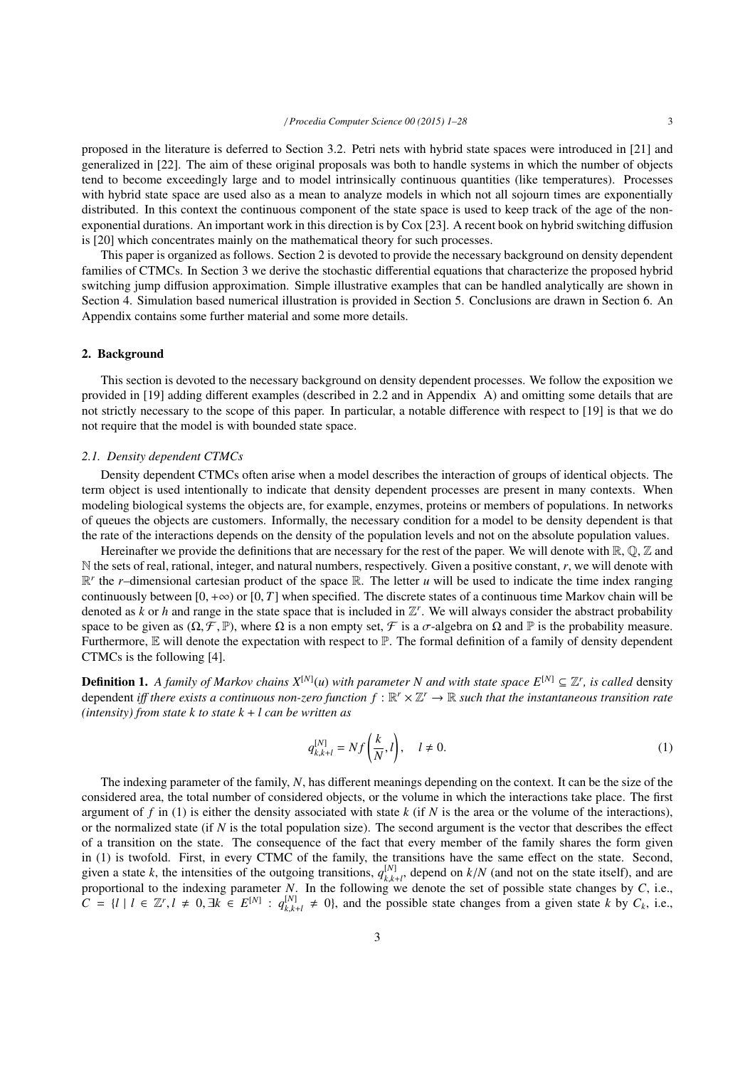proposed in the literature is deferred to Section 3.2. Petri nets with hybrid state spaces were introduced in [21] and generalized in [22]. The aim of these original proposals was both to handle systems in which the number of objects tend to become exceedingly large and to model intrinsically continuous quantities (like temperatures). Processes with hybrid state space are used also as a mean to analyze models in which not all sojourn times are exponentially distributed. In this context the continuous component of the state space is used to keep track of the age of the nonexponential durations. An important work in this direction is by Cox [23]. A recent book on hybrid switching diffusion is [20] which concentrates mainly on the mathematical theory for such processes.

This paper is organized as follows. Section 2 is devoted to provide the necessary background on density dependent families of CTMCs. In Section 3 we derive the stochastic differential equations that characterize the proposed hybrid switching jump diffusion approximation. Simple illustrative examples that can be handled analytically are shown in Section 4. Simulation based numerical illustration is provided in Section 5. Conclusions are drawn in Section 6. An Appendix contains some further material and some more details.

## 2. Background

This section is devoted to the necessary background on density dependent processes. We follow the exposition we provided in [19] adding different examples (described in 2.2 and in Appendix A) and omitting some details that are not strictly necessary to the scope of this paper. In particular, a notable difference with respect to [19] is that we do not require that the model is with bounded state space.

## *2.1. Density dependent CTMCs*

Density dependent CTMCs often arise when a model describes the interaction of groups of identical objects. The term object is used intentionally to indicate that density dependent processes are present in many contexts. When modeling biological systems the objects are, for example, enzymes, proteins or members of populations. In networks of queues the objects are customers. Informally, the necessary condition for a model to be density dependent is that the rate of the interactions depends on the density of the population levels and not on the absolute population values.

Hereinafter we provide the definitions that are necessary for the rest of the paper. We will denote with  $\mathbb{R}, \mathbb{O}, \mathbb{Z}$  and N the sets of real, rational, integer, and natural numbers, respectively. Given a positive constant, *r*, we will denote with  $\mathbb{R}^r$  the *r*–dimensional cartesian product of the space  $\mathbb{R}$ . The letter *u* will be used to indicate the time index ranging continuously between  $[0, +\infty)$  or  $[0, T]$  when specified. The discrete states of a continuous time Markov chain will be denoted as  $k$  or  $h$  and range in the state space that is included in  $\mathbb{Z}^r$ . We will always consider the abstract probability space to be given as  $(\Omega, \mathcal{F}, \mathbb{P})$ , where  $\Omega$  is a non empty set,  $\mathcal{F}$  is a  $\sigma$ -algebra on  $\Omega$  and  $\mathbb{P}$  is the probability measure. Furthermore, E will denote the expectation with respect to P. The formal definition of a family of density dependent CTMCs is the following [4].

**Definition 1.** A family of Markov chains  $X^{[N]}(u)$  with parameter N and with state space  $E^{[N]} \subseteq \mathbb{Z}^r$ , is called density dependent *iff there exists a continuous non-zero function*  $f : \mathbb{R}^r \times \mathbb{Z}^r \to \mathbb{R}$  such that the instantaneous transition rate *(intensity) from state k to state k* + *l can be written as*

$$
q_{k,k+l}^{[N]} = Nf\left(\frac{k}{N},l\right), \quad l \neq 0. \tag{1}
$$

The indexing parameter of the family, *N*, has different meanings depending on the context. It can be the size of the considered area, the total number of considered objects, or the volume in which the interactions take place. The first argument of *f* in (1) is either the density associated with state *k* (if *N* is the area or the volume of the interactions), or the normalized state (if *N* is the total population size). The second argument is the vector that describes the effect of a transition on the state. The consequence of the fact that every member of the family shares the form given in (1) is twofold. First, in every CTMC of the family, the transitions have the same effect on the state. Second, given a state *k*, the intensities of the outgoing transitions,  $q_{k,k+l}^{[N]}$ , depend on  $k/N$  (and not on the state itself), and are<br>proportional to the indexing parameter *N*. In the following we denote the set of possibl proportional to the indexing parameter *N*. In the following we denote the set of possible state changes by *C*, i.e.,  $C = \{l \mid l \in \mathbb{Z}^r, l \neq 0, \exists k \in E^{[N]} : q_{k,k}^{[N]} \}$  $\binom{[N]}{k,k+l} \neq 0$ , and the possible state changes from a given state *k* by  $C_k$ , i.e.,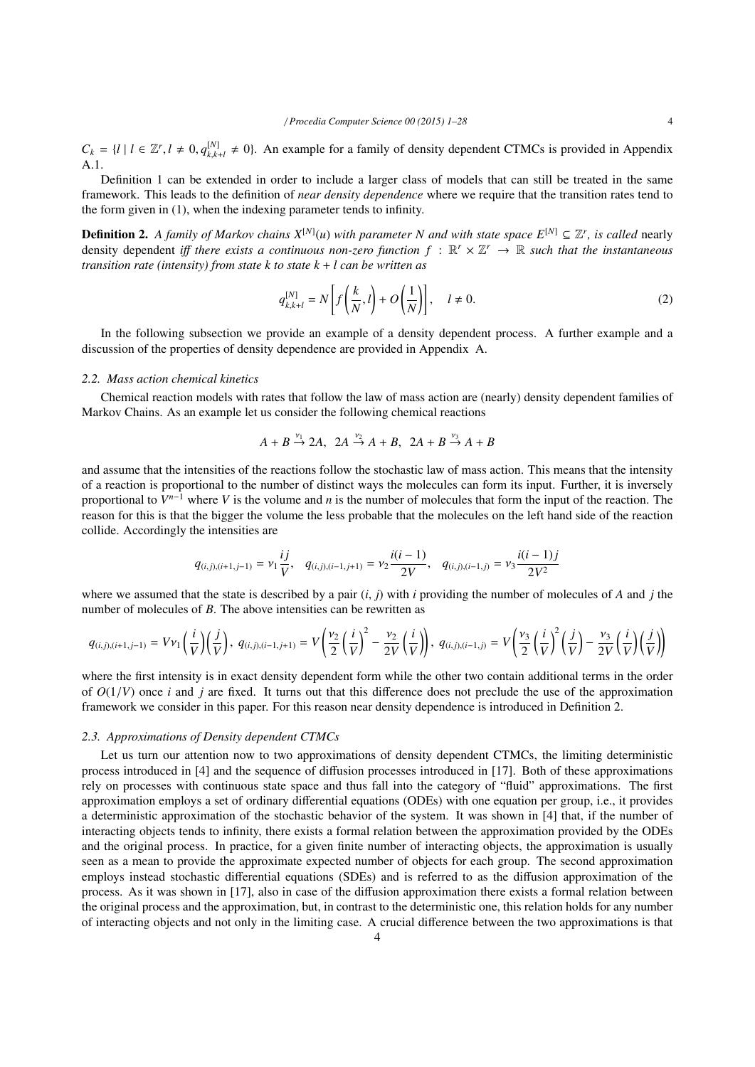$C_k = \{l \mid l \in \mathbb{Z}^r, l \neq 0, q_{k,k}^{[N]} \}$  $k_{k,k+l}^{[N]} \neq 0$ . An example for a family of density dependent CTMCs is provided in Appendix A.1.

Definition 1 can be extended in order to include a larger class of models that can still be treated in the same framework. This leads to the definition of *near density dependence* where we require that the transition rates tend to the form given in (1), when the indexing parameter tends to infinity.

**Definition 2.** A family of Markov chains  $X^{[N]}(u)$  with parameter N and with state space  $E^{[N]} \subseteq \mathbb{Z}^r$ , is called nearly density dependent *iff there exists a continuous non-zero function*  $f : \mathbb{R}^r \times \mathbb{Z}^r \to \mathbb{R}$  *such that the instantaneous transition rate (intensity) from state k to state k* + *l can be written as*

$$
q_{k,k+l}^{[N]} = N \left[ f\left(\frac{k}{N}, l\right) + O\left(\frac{1}{N}\right) \right], \quad l \neq 0.
$$
 (2)

In the following subsection we provide an example of a density dependent process. A further example and a discussion of the properties of density dependence are provided in Appendix A.

## *2.2. Mass action chemical kinetics*

Chemical reaction models with rates that follow the law of mass action are (nearly) density dependent families of Markov Chains. As an example let us consider the following chemical reactions

$$
A + B \xrightarrow{\nu_1} 2A, \ \ 2A \xrightarrow{\nu_2} A + B, \ \ 2A + B \xrightarrow{\nu_3} A + B
$$

and assume that the intensities of the reactions follow the stochastic law of mass action. This means that the intensity of a reaction is proportional to the number of distinct ways the molecules can form its input. Further, it is inversely proportional to  $V^{n-1}$  where V is the volume and *n* is the number of molecules that form the input of the reaction. The reason for this is that the bigger the volume the less probable that the molecules on the left hand side of the reaction collide. Accordingly the intensities are

$$
q_{(i,j),(i+1,j-1)} = \nu_1 \frac{i j}{V}, \quad q_{(i,j),(i-1,j+1)} = \nu_2 \frac{i(i-1)}{2V}, \quad q_{(i,j),(i-1,j)} = \nu_3 \frac{i(i-1)j}{2V^2}
$$

where we assumed that the state is described by a pair (*i*, *<sup>j</sup>*) with *<sup>i</sup>* providing the number of molecules of *<sup>A</sup>* and *<sup>j</sup>* the number of molecules of *B*. The above intensities can be rewritten as

$$
q_{(i,j),(i+1,j-1)} = Vv_1\left(\frac{i}{V}\right)\left(\frac{j}{V}\right),\ q_{(i,j),(i-1,j+1)} = V\left(\frac{v_2}{2}\left(\frac{i}{V}\right)^2 - \frac{v_2}{2V}\left(\frac{i}{V}\right)\right),\ q_{(i,j),(i-1,j)} = V\left(\frac{v_3}{2}\left(\frac{i}{V}\right)^2\left(\frac{j}{V}\right) - \frac{v_3}{2V}\left(\frac{i}{V}\right)\left(\frac{j}{V}\right)\right)
$$

where the first intensity is in exact density dependent form while the other two contain additional terms in the order of  $O(1/V)$  once *i* and *j* are fixed. It turns out that this difference does not preclude the use of the approximation framework we consider in this paper. For this reason near density dependence is introduced in Definition 2.

#### *2.3. Approximations of Density dependent CTMCs*

Let us turn our attention now to two approximations of density dependent CTMCs, the limiting deterministic process introduced in [4] and the sequence of diffusion processes introduced in [17]. Both of these approximations rely on processes with continuous state space and thus fall into the category of "fluid" approximations. The first approximation employs a set of ordinary differential equations (ODEs) with one equation per group, i.e., it provides a deterministic approximation of the stochastic behavior of the system. It was shown in [4] that, if the number of interacting objects tends to infinity, there exists a formal relation between the approximation provided by the ODEs and the original process. In practice, for a given finite number of interacting objects, the approximation is usually seen as a mean to provide the approximate expected number of objects for each group. The second approximation employs instead stochastic differential equations (SDEs) and is referred to as the diffusion approximation of the process. As it was shown in [17], also in case of the diffusion approximation there exists a formal relation between the original process and the approximation, but, in contrast to the deterministic one, this relation holds for any number of interacting objects and not only in the limiting case. A crucial difference between the two approximations is that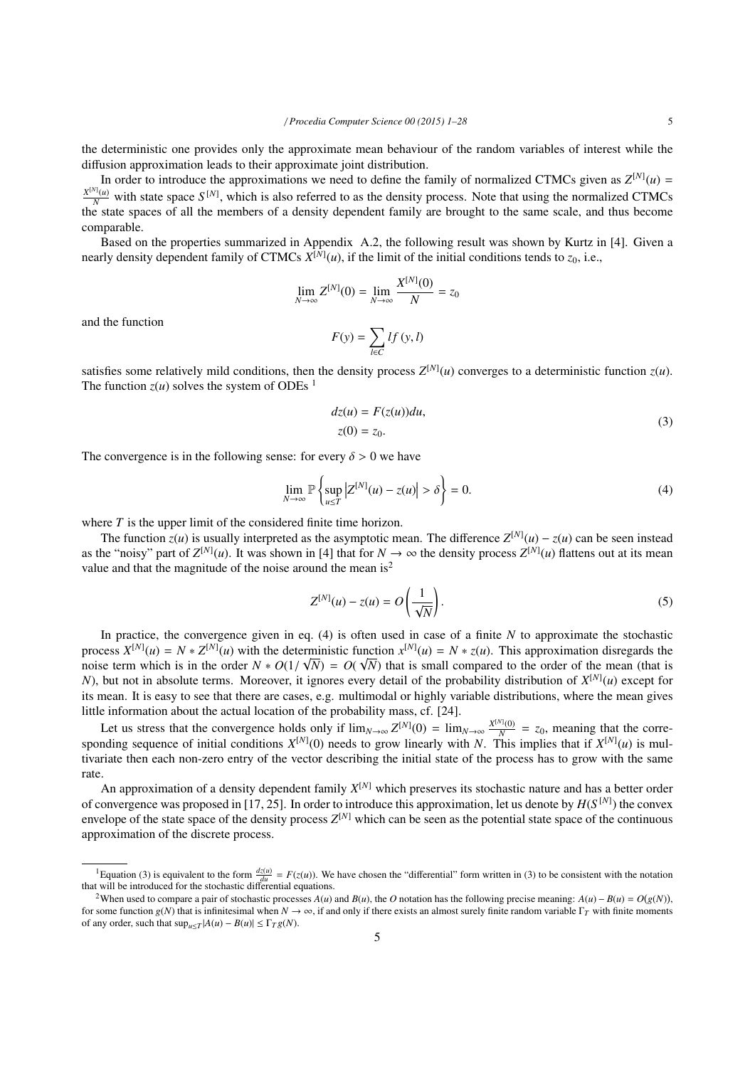In order to introduce the approximations we need to define the family of normalized CTMCs given as  $Z^{[N]}(u)$  =  $\frac{X^{[N]}(u)}{N}$  with state space  $S^{[N]}$ , which is also referred to as the density process. Note that using the normalized CTMCs the state spaces of all the members of a density dependent family are brought to the same scale, and thus become comparable.

Based on the properties summarized in Appendix A.2, the following result was shown by Kurtz in [4]. Given a nearly density dependent family of CTMCs  $X^{[N]}(u)$ , if the limit of the initial conditions tends to  $z_0$ , i.e.,

$$
\lim_{N \to \infty} Z^{[N]}(0) = \lim_{N \to \infty} \frac{X^{[N]}(0)}{N} = z_0
$$

and the function

$$
F(y) = \sum_{l \in C} l f(y, l)
$$

satisfies some relatively mild conditions, then the density process  $Z^{[N]}(u)$  converges to a deterministic function  $z(u)$ . The function  $z(u)$  solves the system of ODEs <sup>1</sup>

$$
dz(u) = F(z(u))du,
$$
  
\n
$$
z(0) = z_0.
$$
\n(3)

The convergence is in the following sense: for every  $\delta > 0$  we have

$$
\lim_{N \to \infty} \mathbb{P}\left\{\sup_{u \le T} \left|Z^{[N]}(u) - z(u)\right| > \delta\right\} = 0. \tag{4}
$$

where *T* is the upper limit of the considered finite time horizon.

The function  $z(u)$  is usually interpreted as the asymptotic mean. The difference  $Z^{[N]}(u) - z(u)$  can be seen instead as the "noisy" part of  $Z^{[N]}(u)$ . It was shown in [4] that for  $N \to \infty$  the density process  $Z^{[N]}(u)$  flattens out at its mean value and that the magnitude of the noise around the mean is<sup>2</sup>

$$
Z^{[N]}(u) - z(u) = O\left(\frac{1}{\sqrt{N}}\right).
$$
\n<sup>(5)</sup>

In practice, the convergence given in eq. (4) is often used in case of a finite *N* to approximate the stochastic process  $X^{[N]}(u) = N * Z^{[N]}(u)$  with the deterministic function  $x^{[N]}(u) = N * z(u)$ . This approximation disregards the noise term which is in the order  $N * O(1/\sqrt{N}) = O(\sqrt{N})$  that is small compared to the order of the mean (that is  $N$ ) but not in absolute terms. Moreover, it ignores every detail of the probability distribution of  $X^{[N]}(\mu)$ *N*), but not in absolute terms. Moreover, it ignores every detail of the probability distribution of *X* [*N*] (*u*) except for its mean. It is easy to see that there are cases, e.g. multimodal or highly variable distributions, where the mean gives little information about the actual location of the probability mass, cf. [24].

Let us stress that the convergence holds only if  $\lim_{N\to\infty} Z^{[N]}(0) = \lim_{N\to\infty} \frac{X^{[N]}(0)}{N}$  $\frac{N_1(0)}{N}$  = *z*<sub>0</sub>, meaning that the corresponding sequence of initial conditions  $X^{[N]}(0)$  needs to grow linearly with *N*. This implies that if  $X^{[N]}(u)$  is multivariate then each non-zero entry of the vector describing the initial state of the process has to grow with the same rate.

An approximation of a density dependent family *X* [*N*] which preserves its stochastic nature and has a better order of convergence was proposed in [17, 25]. In order to introduce this approximation, let us denote by  $H(S^{[N]})$  the convex envelope of the state space of the density process  $Z^{[N]}$  which can be seen as the potential state space of the continuous approximation of the discrete process.

<sup>&</sup>lt;sup>1</sup>Equation (3) is equivalent to the form  $\frac{d\zeta(u)}{du} = F(z(u))$ . We have chosen the "differential" form written in (3) to be consistent with the notation that will be introduced for the stochastic differential equations.

<sup>&</sup>lt;sup>2</sup>When used to compare a pair of stochastic processes  $A(u)$  and  $B(u)$ , the O notation has the following precise meaning:  $A(u) - B(u) = O(g(N))$ , for some function *g*(*N*) that is infinitesimal when  $N \to \infty$ , if and only if there exists an almost surely finite random variable  $\Gamma_T$  with finite moments of any order, such that  $\sup_{u \leq T} |A(u) - B(u)| \leq \Gamma_T g(N)$ .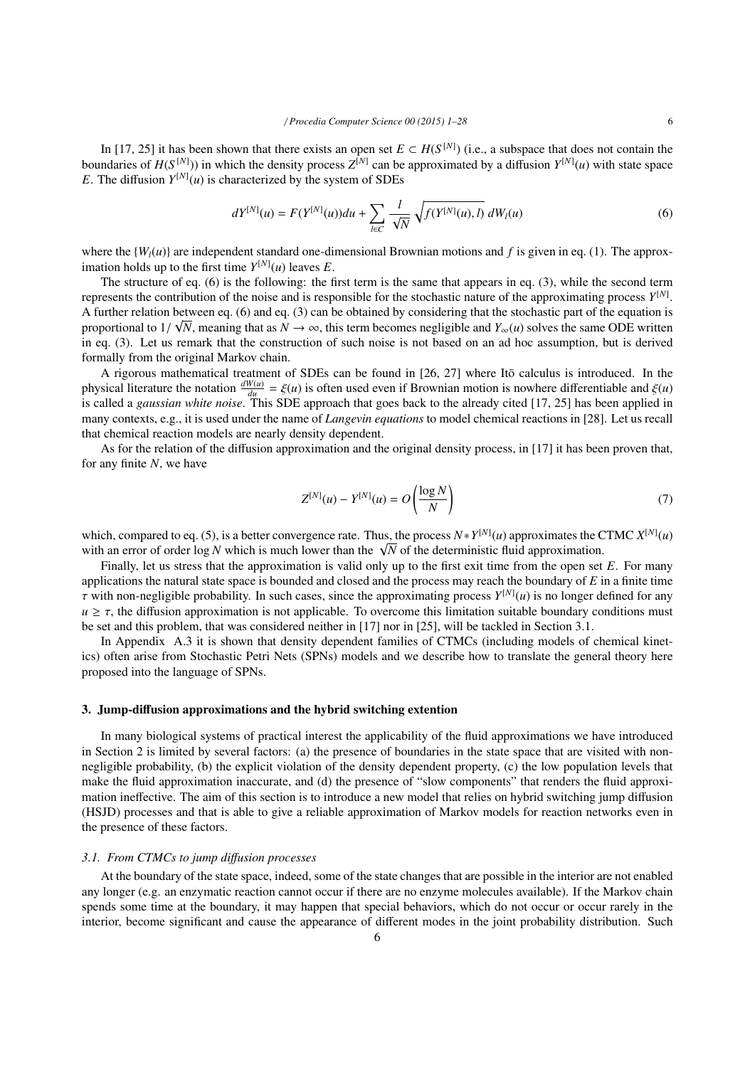In [17, 25] it has been shown that there exists an open set  $E \subset H(S^{[N]})$  (i.e., a subspace that does not contain the boundaries of  $H(S^{[N]})$ ) in which the density process  $Z^{[N]}$  can be approximated by a diffusion  $Y^{[N]}(u)$  with state space *E*. The diffusion  $Y^{[N]}(u)$  is characterized by the system of SDEs

$$
dY^{[N]}(u) = F(Y^{[N]}(u))du + \sum_{l \in C} \frac{l}{\sqrt{N}} \sqrt{f(Y^{[N]}(u), l)} dW_l(u)
$$
(6)

where the  ${W<sub>I</sub>(u)}$  are independent standard one-dimensional Brownian motions and f is given in eq. (1). The approximation holds up to the first time  $Y^{[N]}(u)$  leaves *E*.

The structure of eq. (6) is the following: the first term is the same that appears in eq. (3), while the second term represents the contribution of the noise and is responsible for the stochastic nature of the approximating process *Y* [*N*] . A further relation between eq. (6) and eq. (3) can be obtained by considering that the stochastic part of the equation is proportional to  $1/\sqrt{N}$ , meaning that as  $N \to \infty$ , this term becomes negligible and  $Y_{\infty}(u)$  solves the same ODE written<br>in eq. (3) Let us remark that the construction of such noise is not based on an ad hoc assumption in eq. (3). Let us remark that the construction of such noise is not based on an ad hoc assumption, but is derived formally from the original Markov chain.

A rigorous mathematical treatment of SDEs can be found in [26, 27] where Itō calculus is introduced. In the physical literature the notation  $\frac{dW(u)}{du} = \xi(u)$  is often used even if Brownian motion is nowhere differentiable and  $\xi(u)$ <br>is called a *noussign white noise*. This SDE approach that goes hack to the already cited [17, is called a *gaussian white noise*. This SDE approach that goes back to the already cited [17, 25] has been applied in many contexts, e.g., it is used under the name of *Langevin equations* to model chemical reactions in [28]. Let us recall that chemical reaction models are nearly density dependent.

As for the relation of the diffusion approximation and the original density process, in [17] it has been proven that, for any finite *N*, we have

$$
Z^{[N]}(u) - Y^{[N]}(u) = O\left(\frac{\log N}{N}\right) \tag{7}
$$

which, compared to eq. (5), is a better convergence rate. Thus, the process  $N * Y^{[N]}(u)$  approximates the CTMC  $X^{[N]}(u)$ which, compared to eq. (5), is a better convergence rate. Thus, the process  $N * Y^{(0)}(u)$  approximates the C with an error of order log *N* which is much lower than the  $\sqrt{N}$  of the deterministic fluid approximation.

Finally, let us stress that the approximation is valid only up to the first exit time from the open set *E*. For many applications the natural state space is bounded and closed and the process may reach the boundary of *E* in a finite time  $\tau$  with non-negligible probability. In such cases, since the approximating process  $Y^{[N]}(u)$  is no longer defined for any<br> $u > \tau$  the diffusion approximation is not applicable. To overcome this limitation suitable bound  $u \geq \tau$ , the diffusion approximation is not applicable. To overcome this limitation suitable boundary conditions must be set and this problem, that was considered neither in [17] nor in [25], will be tackled in Section 3.1.

In Appendix A.3 it is shown that density dependent families of CTMCs (including models of chemical kinetics) often arise from Stochastic Petri Nets (SPNs) models and we describe how to translate the general theory here proposed into the language of SPNs.

### 3. Jump-diffusion approximations and the hybrid switching extention

In many biological systems of practical interest the applicability of the fluid approximations we have introduced in Section 2 is limited by several factors: (a) the presence of boundaries in the state space that are visited with nonnegligible probability, (b) the explicit violation of the density dependent property, (c) the low population levels that make the fluid approximation inaccurate, and (d) the presence of "slow components" that renders the fluid approximation ineffective. The aim of this section is to introduce a new model that relies on hybrid switching jump diffusion (HSJD) processes and that is able to give a reliable approximation of Markov models for reaction networks even in the presence of these factors.

## *3.1. From CTMCs to jump di*ff*usion processes*

At the boundary of the state space, indeed, some of the state changes that are possible in the interior are not enabled any longer (e.g. an enzymatic reaction cannot occur if there are no enzyme molecules available). If the Markov chain spends some time at the boundary, it may happen that special behaviors, which do not occur or occur rarely in the interior, become significant and cause the appearance of different modes in the joint probability distribution. Such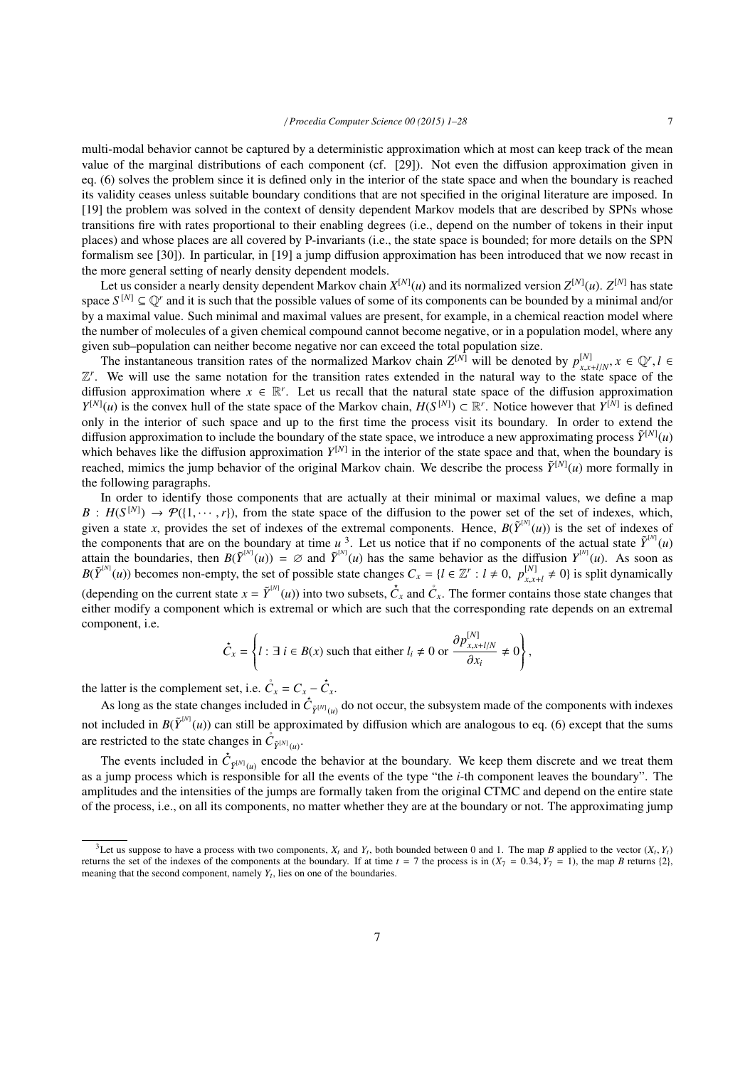multi-modal behavior cannot be captured by a deterministic approximation which at most can keep track of the mean value of the marginal distributions of each component (cf. [29]). Not even the diffusion approximation given in eq. (6) solves the problem since it is defined only in the interior of the state space and when the boundary is reached its validity ceases unless suitable boundary conditions that are not specified in the original literature are imposed. In [19] the problem was solved in the context of density dependent Markov models that are described by SPNs whose transitions fire with rates proportional to their enabling degrees (i.e., depend on the number of tokens in their input places) and whose places are all covered by P-invariants (i.e., the state space is bounded; for more details on the SPN formalism see [30]). In particular, in [19] a jump diffusion approximation has been introduced that we now recast in the more general setting of nearly density dependent models.

Let us consider a nearly density dependent Markov chain  $X^{[N]}(u)$  and its normalized version  $Z^{[N]}(u)$ .  $Z^{[N]}$  has state space  $S^{[N]} \subseteq \mathbb{Q}^r$  and it is such that the possible values of some of its components can be bounded by a minimal and/or by a maximal value. Such minimal and maximal values are present, for example, in a chemical reaction model where the number of molecules of a given chemical compound cannot become negative, or in a population model, where any given sub–population can neither become negative nor can exceed the total population size.

The instantaneous transition rates of the normalized Markov chain  $Z^{[N]}$  will be denoted by  $p_{x,x+l/N}^{[N]}$ ,  $x \in \mathbb{Q}^r$ ,  $l \in \mathbb{N}$  will use the same notation for the transition rates extended in the natural way to the *Z*<sup>*r*</sup>. We will use the same notation for the transition rates extended in the natural way to the state space of the diffusion approximation where  $x \in \mathbb{R}^r$ . Let us recall that the natural state space of the diffusion approximation *Y*<sup>[*N*]</sup>(*u*) is the convex hull of the state space of the Markov chain, *H*(*S*<sup>[*N*]</sup>) ⊂ R<sup>*r*</sup>. Notice however that *Y*<sup>[*N*</sup>] is defined only in the interior of such space and up to the first time the process visit its boundary. In order to extend the diffusion approximation to include the boundary of the state space, we introduce a new approximating process  $\tilde{Y}^{[N]}(u)$ which behaves like the diffusion approximation  $Y^{[N]}$  in the interior of the state space and that, when the boundary is reached, mimics the jump behavior of the original Markov chain. We describe the process  $\tilde{Y}^{[N]}(u)$  more formally in the following paragraphs.

In order to identify those components that are actually at their minimal or maximal values, we define a map  $B$  :  $H(S^{[N]})$  $B : H(S^{[N]}) \to \mathcal{P}(\{1, \dots, r\})$ , from the state space of the diffusion to the power set of the set of indexes, which, given a state x, provides the set of indexes of the extremal components. Hence,  $B(\tilde{Y}^{[N]}(u))$  is the s the components that are on the boundary at time  $u^3$ . Let us notice that if no components of the actual state  $\tilde{Y}^{(N)}(u)$ attain the boundaries, then  $B(\tilde{Y}^{(N)}(u)) = \emptyset$  and  $\tilde{Y}^{(N)}(u)$  has the same behavior as the diffusion  $Y^{(N)}(u)$ . As soon as  $B(\tilde{Y}^{[N]}(u))$  becomes non-empty, the set of possible state changes  $C_x = \{l \in \mathbb{Z}^r : l \neq 0, p_{x,x}^{[N]}\}$  $\begin{bmatrix} N \\ x, x+l \end{bmatrix} \neq 0$  is split dynamically (depending on the current state  $x = \tilde{Y}^{[N]}(u)$ ) into two subsets,  $\dot{C}_x$  and  $\dot{C}_x$ . The former contains those state changes that either modify a component which is extremal or which are such that the corresponding rate depends on an extremal component, i.e.

$$
\check{C}_x = \left\{ l : \exists i \in B(x) \text{ such that either } l_i \neq 0 \text{ or } \frac{\partial p_{x,x+l/N}^{[N]}}{\partial x_i} \neq 0 \right\},
$$

the latter is the complement set, i.e.  $\mathring{C}_x = C_x - \mathring{C}_x$ .

As long as the state changes included in  $C_{\tilde{Y}^{[N]}(u)}$  do not occur, the subsystem made of the components with indexes not included in  $B(\tilde{Y}^{[N]}(u))$  can still be approximated by diffusion which are analogous to eq. (6) except that the sums are restricted to the state changes in  $\mathring{C}_{\vec{Y}^{[N]}(u)}$ .

The events included in  $\tilde{C}_{\tilde{Y}^{[N]}(u)}$  encode the behavior at the boundary. We keep them discrete and we treat them as a jump process which is responsible for all the events of the type "the *i*-th component leaves the boundary". The amplitudes and the intensities of the jumps are formally taken from the original CTMC and depend on the entire state of the process, i.e., on all its components, no matter whether they are at the boundary or not. The approximating jump

<sup>&</sup>lt;sup>3</sup>Let us suppose to have a process with two components,  $X_t$  and  $Y_t$ , both bounded between 0 and 1. The map *B* applied to the vector  $(X_t, Y_t)$ <br>uns the set of the indexes of the components at the boundary. If at time  $t =$ returns the set of the indexes of the components at the boundary. If at time  $t = 7$  the process is in  $(X_7 = 0.34, Y_7 = 1)$ , the map *B* returns {2}, meaning that the second component, namely  $Y_t$ , lies on one of the boundaries.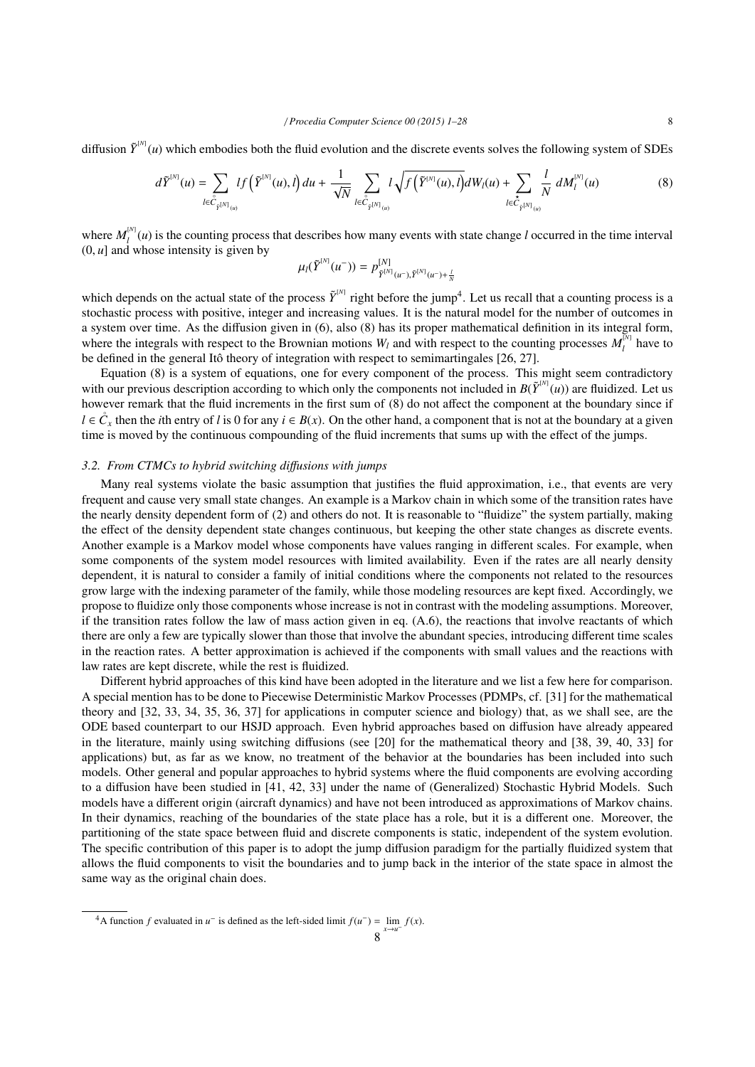diffusion  $\tilde{Y}^{[N]}(u)$  which embodies both the fluid evolution and the discrete events solves the following system of SDEs

$$
d\tilde{Y}^{^{[N]}}(u) = \sum_{l \in \overset{\circ}{C}_{\tilde{Y}^{[N]}(u)}} l f\left(\tilde{Y}^{^{[N]}}(u), l\right) du + \frac{1}{\sqrt{N}} \sum_{l \in \overset{\circ}{C}_{\tilde{Y}^{[N]}(u)}} l \sqrt{f\left(\tilde{Y}^{^{[N]}}(u), l\right)} dW_l(u) + \sum_{l \in \overset{\circ}{C}_{\tilde{Y}^{[N]}(u)}} \frac{l}{N} dM_l^{^{[N]}}(u) \tag{8}
$$

where  $M_l^{[N]}(u)$  is the counting process that describes how many events with state change *l* occurred in the time interval  $(0, u]$  and whose intensity is given by

$$
\mu_l(\tilde{Y}^{[N]}(u^-)) = p_{\tilde{Y}^{[N]}(u^-), \tilde{Y}^{[N]}(u^-)+\frac{l}{N}}
$$

which depends on the actual state of the process  $\tilde{Y}^{[N]}$  right before the jump<sup>4</sup>. Let us recall that a counting process is a stochastic process with positive, integer and increasing values. It is the natural model for the number of outcomes in a system over time. As the diffusion given in (6), also (8) has its proper mathematical definition in its integral form, where the integrals with respect to the Brownian motions  $W_l$  and with respect to the counting processes  $M_l^M$  have to be defined in the general Itô theory of integration with respect to semimartingales  $[26, 27]$ .

Equation (8) is a system of equations, one for every component of the process. This might seem contradictory with our previous description according to which only the components not included in  $B(\tilde{Y}^{(N)}(u))$  are fluidized. Let us however remark that the fluid increments in the first sum of (8) do not affect the component at the boundary since if *l* ∈  $\overset{\circ}{C_x}$  then the *i*th entry of *l* is 0 for any *i* ∈ *B*(*x*). On the other hand, a component that is not at the boundary at a given time is moved by the continuous compounding of the fluid increments that sums up with the effect of the jumps.

# *3.2. From CTMCs to hybrid switching di*ff*usions with jumps*

Many real systems violate the basic assumption that justifies the fluid approximation, i.e., that events are very frequent and cause very small state changes. An example is a Markov chain in which some of the transition rates have the nearly density dependent form of (2) and others do not. It is reasonable to "fluidize" the system partially, making the effect of the density dependent state changes continuous, but keeping the other state changes as discrete events. Another example is a Markov model whose components have values ranging in different scales. For example, when some components of the system model resources with limited availability. Even if the rates are all nearly density dependent, it is natural to consider a family of initial conditions where the components not related to the resources grow large with the indexing parameter of the family, while those modeling resources are kept fixed. Accordingly, we propose to fluidize only those components whose increase is not in contrast with the modeling assumptions. Moreover, if the transition rates follow the law of mass action given in eq. (A.6), the reactions that involve reactants of which there are only a few are typically slower than those that involve the abundant species, introducing different time scales in the reaction rates. A better approximation is achieved if the components with small values and the reactions with law rates are kept discrete, while the rest is fluidized.

Different hybrid approaches of this kind have been adopted in the literature and we list a few here for comparison. A special mention has to be done to Piecewise Deterministic Markov Processes (PDMPs, cf. [31] for the mathematical theory and [32, 33, 34, 35, 36, 37] for applications in computer science and biology) that, as we shall see, are the ODE based counterpart to our HSJD approach. Even hybrid approaches based on diffusion have already appeared in the literature, mainly using switching diffusions (see [20] for the mathematical theory and [38, 39, 40, 33] for applications) but, as far as we know, no treatment of the behavior at the boundaries has been included into such models. Other general and popular approaches to hybrid systems where the fluid components are evolving according to a diffusion have been studied in [41, 42, 33] under the name of (Generalized) Stochastic Hybrid Models. Such models have a different origin (aircraft dynamics) and have not been introduced as approximations of Markov chains. In their dynamics, reaching of the boundaries of the state place has a role, but it is a different one. Moreover, the partitioning of the state space between fluid and discrete components is static, independent of the system evolution. The specific contribution of this paper is to adopt the jump diffusion paradigm for the partially fluidized system that allows the fluid components to visit the boundaries and to jump back in the interior of the state space in almost the same way as the original chain does.

<sup>&</sup>lt;sup>4</sup>A function *f* evaluated in *u*<sup>−</sup> is defined as the left-sided limit  $f(u^-) = \lim_{x \to u^-} f(x)$ .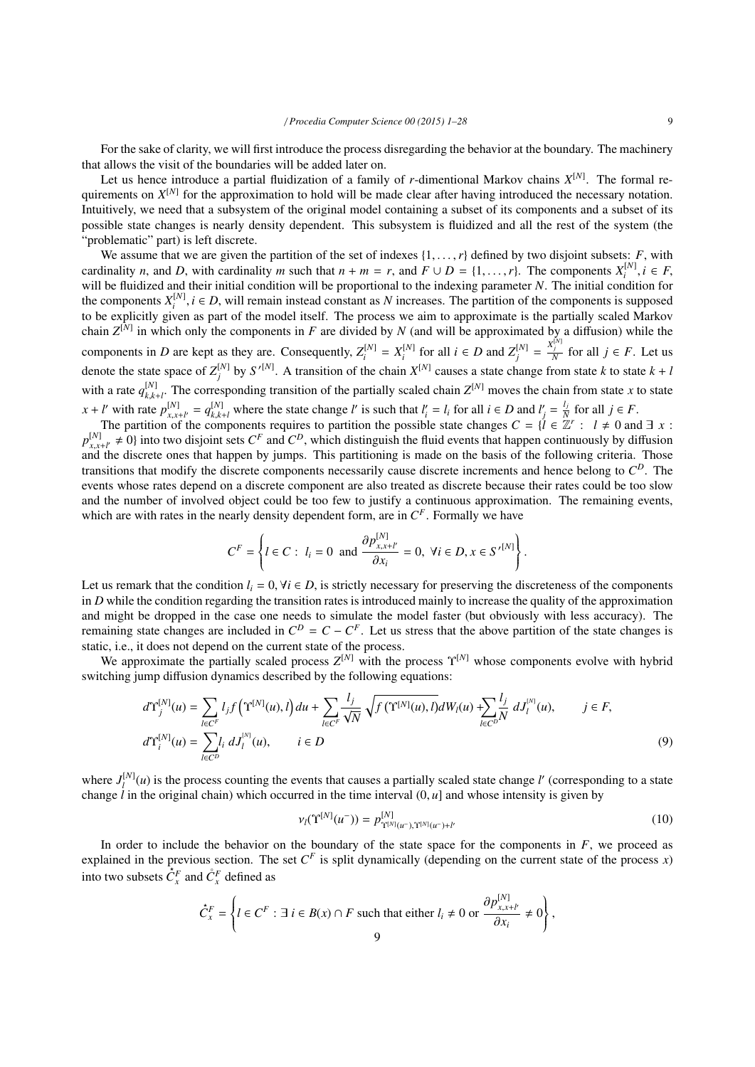For the sake of clarity, we will first introduce the process disregarding the behavior at the boundary. The machinery that allows the visit of the boundaries will be added later on.

Let us hence introduce a partial fluidization of a family of *r*-dimentional Markov chains *X* [*N*] . The formal requirements on  $X^{[N]}$  for the approximation to hold will be made clear after having introduced the necessary notation. Intuitively, we need that a subsystem of the original model containing a subset of its components and a subset of its possible state changes is nearly density dependent. This subsystem is fluidized and all the rest of the system (the "problematic" part) is left discrete.

We assume that we are given the partition of the set of indexes  $\{1, \ldots, r\}$  defined by two disjoint subsets: *F*, with cardinality *n*, and *D*, with cardinality *m* such that  $n + m = r$ , and  $F \cup D = \{1, \ldots, r\}$ . The components  $X_i^{[N]}$ ,  $i \in F$ , will be fluidized and their initial condition will be proportional to the indexing parameter *N*. will be fluidized and their initial condition will be proportional to the indexing parameter *N*. The initial condition for the components  $X_i^{[N]}$ ,  $i \in D$ , will remain instead constant as *N* increases. The partition of the components is supposed to be explicitly given as part of the model itself. The process we aim to approximate is the part to be explicitly given as part of the model itself. The process we aim to approximate is the partially scaled Markov chain  $Z^{[N]}$  in which only the components in *F* are divided by *N* (and will be approximated by a diffusion) while the components in D are kept as they are. Consequently,  $Z_i^{[N]} = X_i^{[N]}$  for all  $i \in D$  and  $Z_j^{[N]} = \frac{X_j^{[N]}}{N}$  for all  $j \in F$ . Let us denote the state space of  $Z_j^{[N]}$  by  $S'^{[N]}$ . A transition of the chain  $X^{[N]}$  causes a state change from state *k* to state  $k + l$ with a rate  $q_{k,k+l}^{[N]}$ . The corresponding transition of the partially scaled chain  $Z^{[N]}$  moves the chain from state *x* to state  $x + l'$  with rate  $p_{x}^{[N]}$  $\begin{cases} [N] \binom{N}{x,x+l'} = q_{k,k+l}^{[N]}$  where the state change l' is such that  $l'_i = l_i$  for all  $i \in D$  and  $l'_j = \frac{l_j}{N}$  of the components requires to partition the possible state changes  $C = \{l \in \mathbb{Z} \}$  $\frac{l_j}{N}$  for all  $j \in F$ .

The partition of the components requires to partition the possible state changes  $C = \{l \in \mathbb{Z}^r : l \neq 0 \text{ and } \exists x$ :  $p_{r,n}^{[N]}$  $N_x$ ,  $\neq 0$  into two disjoint sets  $C^F$  and  $C^D$ , which distinguish the fluid events that happen continuously by diffusion  $\alpha$ ,  $\alpha$ ,  $\alpha$ ,  $\beta$  and the discrete ones that happen by jumps. This partitioning is made o and the discrete ones that happen by jumps. This partitioning is made on the basis of the following criteria. Those transitions that modify the discrete components necessarily cause discrete increments and hence belong to *C <sup>D</sup>*. The events whose rates depend on a discrete component are also treated as discrete because their rates could be too slow and the number of involved object could be too few to justify a continuous approximation. The remaining events, which are with rates in the nearly density dependent form, are in  $C<sup>F</sup>$ . Formally we have

$$
C^{F} = \left\{ l \in C: l_{i} = 0 \text{ and } \frac{\partial p_{x,x+l'}^{[N]}}{\partial x_{i}} = 0, \forall i \in D, x \in S^{\prime [N]} \right\}
$$

Let us remark that the condition  $l_i = 0$ ,  $\forall i \in D$ , is strictly necessary for preserving the discreteness of the components in *D* while the condition regarding the transition rates is introduced mainly to increase the quality of the approximation and might be dropped in the case one needs to simulate the model faster (but obviously with less accuracy). The remaining state changes are included in  $C^D = C - C^F$ . Let us stress that the above partition of the state changes is static, i.e., it does not depend on the current state of the process.

We approximate the partially scaled process  $Z^{[N]}$  with the process  $\Upsilon^{[N]}$  whose components evolve with hybrid switching jump diffusion dynamics described by the following equations:

$$
d\Upsilon_{j}^{[N]}(u) = \sum_{l \in C^{F}} l_{j} f(\Upsilon^{[N]}(u), l) du + \sum_{l \in C^{F}} \frac{l_{j}}{\sqrt{N}} \sqrt{f(\Upsilon^{[N]}(u), l)} dW_{l}(u) + \sum_{l \in C^{D}} \frac{l_{j}}{N} dJ_{l}^{[N]}(u), \qquad j \in F,
$$
  

$$
d\Upsilon_{i}^{[N]}(u) = \sum_{l \in C^{D}} l_{i} dJ_{l}^{[N]}(u), \qquad i \in D
$$
 (9)

where  $J_l^{[N]}(u)$  is the process counting the events that causes a partially scaled state change *l'* (corresponding to a state change  $\hat{l}$  in the original chain) which occurred in the time interval  $(0, u]$  and whose intensity is given by

$$
\nu_l(\Upsilon^{[N]}(u^-)) = p^{[N]}_{\Upsilon^{[N]}(u^-),\Upsilon^{[N]}(u^-)+l'} \tag{10}
$$

In order to include the behavior on the boundary of the state space for the components in  $F$ , we proceed as explained in the previous section. The set  $C<sup>F</sup>$  is split dynamically (depending on the current state of the process *x*) into two subsets  $\overline{C}_x^F$  and  $\overline{C}_x^F$  defined as

$$
\check{C}_x^F = \left\{ l \in C^F : \exists i \in B(x) \cap F \text{ such that either } l_i \neq 0 \text{ or } \frac{\partial p_{x,x+l'}^{[N]}}{\partial x_i} \neq 0 \right\},\
$$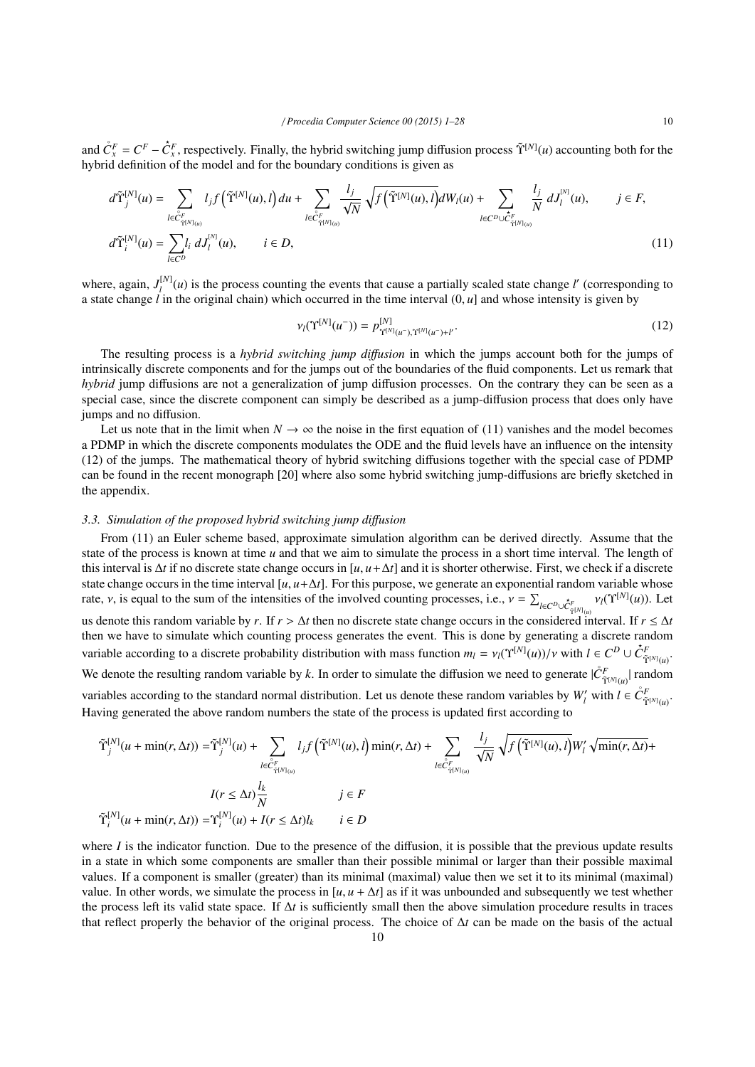and  $\mathring{C}_x^F = C^F - \mathring{C}_x^F$ , respectively. Finally, the hybrid switching jump diffusion process  $\tilde{\Upsilon}^{[N]}(u)$  accounting both for the hybrid definition of the model and for the boundary conditions is given as

$$
d\tilde{\Upsilon}_{j}^{[N]}(u) = \sum_{l \in \tilde{C}_{\tilde{\Upsilon}^{[N]}(u)}} l_{j} f(\tilde{\Upsilon}^{[N]}(u), l) du + \sum_{l \in \tilde{C}_{\tilde{\Upsilon}^{[N]}(u)}} \frac{l_{j}}{\sqrt{N}} \sqrt{f(\tilde{\Upsilon}^{[N]}(u), l)} dW_{l}(u) + \sum_{l \in C^{D} \cup \tilde{C}_{\tilde{\Upsilon}^{[N]}(u)}} \frac{l_{j}}{N} dJ_{l}^{[N]}(u), \qquad j \in F,
$$
  

$$
d\tilde{\Upsilon}_{i}^{[N]}(u) = \sum_{l \in C^{D}} l_{i} dJ_{l}^{[N]}(u), \qquad i \in D,
$$
\n(11)

where, again,  $J_l^{[N]}(u)$  is the process counting the events that cause a partially scaled state change *l'* (corresponding to a state change *l* in the original chain) which occurred in the time interval  $(0, u]$  and whose intensity is given by

$$
\nu_l(\Upsilon^{[N]}(u^-)) = p_{\Upsilon^{[N]}(u^-),\Upsilon^{[N]}(u^-)+l'}^{[N]}.
$$
\n(12)

The resulting process is a *hybrid switching jump di*ff*usion* in which the jumps account both for the jumps of intrinsically discrete components and for the jumps out of the boundaries of the fluid components. Let us remark that *hybrid* jump diffusions are not a generalization of jump diffusion processes. On the contrary they can be seen as a special case, since the discrete component can simply be described as a jump-diffusion process that does only have jumps and no diffusion.

Let us note that in the limit when  $N \to \infty$  the noise in the first equation of (11) vanishes and the model becomes a PDMP in which the discrete components modulates the ODE and the fluid levels have an influence on the intensity (12) of the jumps. The mathematical theory of hybrid switching diffusions together with the special case of PDMP can be found in the recent monograph [20] where also some hybrid switching jump-diffusions are briefly sketched in the appendix.

# *3.3. Simulation of the proposed hybrid switching jump di*ff*usion*

From (11) an Euler scheme based, approximate simulation algorithm can be derived directly. Assume that the state of the process is known at time *u* and that we aim to simulate the process in a short time interval. The length of this interval is  $\Delta t$  if no discrete state change occurs in [ $u, u + \Delta t$ ] and it is shorter otherwise. First, we check if a discrete state change occurs in the time interval  $[u, u + \Delta t]$ . For this purpose, we generate an exponential random variable whose rate,  $\nu$ , is equal to the sum of the intensities of the involved counting processes, i.e.,  $\nu = \sum_{l \in C^D \cup \mathcal{C}_{\tilde{\gamma}^{[N]}(u)}^{\tilde{\gamma}^{[N]}} \nu_l(\hat{\Upsilon}^{[N]}(u))$ . Let us denote this random variable by *r*. If  $r > \Delta t$  then no discrete state change occurs in the considered interval. If  $r \leq \Delta t$ then we have to simulate which counting process generates the event. This is done by generating a discrete random variable according to a discrete probability distribution with mass function  $m_l = v_l(\Upsilon^{[N]}(u))/v$  with  $l \in C^D \cup \hat{C}_{\tilde{\Upsilon}^{[N]}(u)}^F$ . We denote the resulting random variable by k. In order to simulate the diffusion we need to generate  $|\mathring{C}_{\tilde{\Upsilon}^{[N]}(u)}^{F}|$  random variables according to the standard normal distribution. Let us denote these random variables by  $W_l'$  with  $l \in \mathring{C}_{\tilde{Y}^{[N]}(u)}^F$ . Having generated the above random numbers the state of the process is updated first according to

$$
\tilde{\Upsilon}_{j}^{[N]}(u + \min(r, \Delta t)) = \tilde{\Upsilon}_{j}^{[N]}(u) + \sum_{l \in \hat{C}_{\tilde{\Upsilon}^{[N]}(u)}} l_{j}f(\tilde{\Upsilon}^{[N]}(u), l) \min(r, \Delta t) + \sum_{l \in \hat{C}_{\tilde{\Upsilon}^{[N]}(u)}} \frac{l_{j}}{\sqrt{N}} \sqrt{f(\tilde{\Upsilon}^{[N]}(u), l)} W'_{l} \sqrt{\min(r, \Delta t)} +
$$

$$
I(r \le \Delta t) \frac{l_{k}}{N} \qquad j \in F
$$

$$
\tilde{\Upsilon}_{i}^{[N]}(u + \min(r, \Delta t)) = \Upsilon_{i}^{[N]}(u) + I(r \le \Delta t)l_{k} \qquad i \in D
$$

where *I* is the indicator function. Due to the presence of the diffusion, it is possible that the previous update results in a state in which some components are smaller than their possible minimal or larger than their possible maximal values. If a component is smaller (greater) than its minimal (maximal) value then we set it to its minimal (maximal) value. In other words, we simulate the process in  $[u, u + \Delta t]$  as if it was unbounded and subsequently we test whether the process left its valid state space. If  $\Delta t$  is sufficiently small then the above simulation procedure results in traces that reflect properly the behavior of the original process. The choice of ∆*t* can be made on the basis of the actual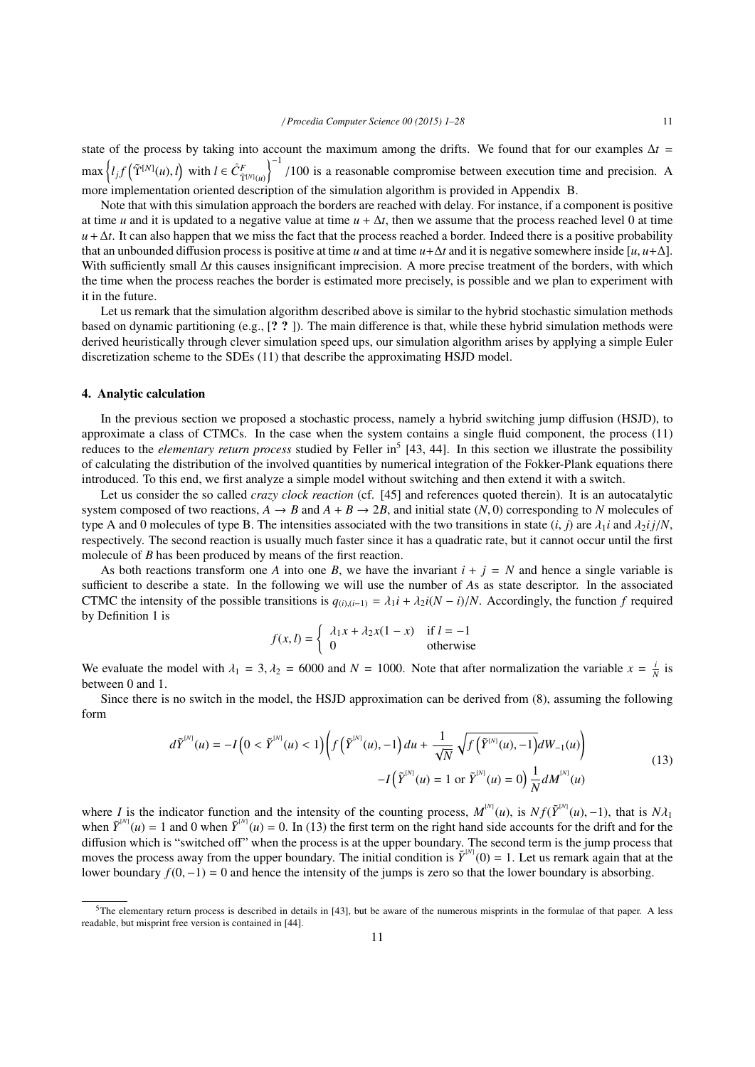state of the process by taking into account the maximum among the drifts. We found that for our examples  $\Delta t =$  $\max \left\{ l_j f\left(\tilde{\Upsilon}^{[N]}(u), l\right) \text{ with } l \in \mathcal{C}^F_{\tilde{\Upsilon}^{[N]}(u)} \right\}$  $\int_{0}^{1}$  /100 is a reasonable compromise between execution time and precision. A more implementation oriented description of the simulation algorithm is provided in Appendix B.

Note that with this simulation approach the borders are reached with delay. For instance, if a component is positive at time *u* and it is updated to a negative value at time  $u + \Delta t$ , then we assume that the process reached level 0 at time  $u + \Delta t$ . It can also happen that we miss the fact that the process reached a border. Indeed there is a positive probability that an unbounded diffusion process is positive at time *u* and at time  $u + \Delta t$  and it is negative somewhere inside [ $u, u + \Delta$ ]. With sufficiently small ∆*t* this causes insignificant imprecision. A more precise treatment of the borders, with which the time when the process reaches the border is estimated more precisely, is possible and we plan to experiment with it in the future.

Let us remark that the simulation algorithm described above is similar to the hybrid stochastic simulation methods based on dynamic partitioning (e.g., [? ? ]). The main difference is that, while these hybrid simulation methods were derived heuristically through clever simulation speed ups, our simulation algorithm arises by applying a simple Euler discretization scheme to the SDEs (11) that describe the approximating HSJD model.

### 4. Analytic calculation

In the previous section we proposed a stochastic process, namely a hybrid switching jump diffusion (HSJD), to approximate a class of CTMCs. In the case when the system contains a single fluid component, the process (11) reduces to the *elementary return process* studied by Feller in<sup>5</sup> [43, 44]. In this section we illustrate the possibility of calculating the distribution of the involved quantities by numerical integration of the Fokker-Plank equations there introduced. To this end, we first analyze a simple model without switching and then extend it with a switch.

Let us consider the so called *crazy clock reaction* (cf. [45] and references quoted therein). It is an autocatalytic system composed of two reactions,  $A \rightarrow B$  and  $A + B \rightarrow 2B$ , and initial state (*N*, 0) corresponding to *N* molecules of type A and 0 molecules of type B. The intensities associated with the two transitions in state  $(i, j)$  are  $\lambda_1 i$  and  $\lambda_2 i j/N$ , respectively. The second reaction is usually much faster since it has a quadratic rate, but it cannot occur until the first molecule of *B* has been produced by means of the first reaction.

As both reactions transform one *A* into one *B*, we have the invariant  $i + j = N$  and hence a single variable is sufficient to describe a state. In the following we will use the number of *A*s as state descriptor. In the associated CTMC the intensity of the possible transitions is  $q_{(i),(i-1)} = \lambda_1 i + \lambda_2 i(N - i)/N$ . Accordingly, the function *f* required by Definition 1 is

$$
f(x, l) = \begin{cases} \lambda_1 x + \lambda_2 x(1 - x) & \text{if } l = -1\\ 0 & \text{otherwise} \end{cases}
$$

We evaluate the model with  $\lambda_1 = 3$ ,  $\lambda_2 = 6000$  and  $N = 1000$ . Note that after normalization the variable  $x = \frac{i}{N}$  is between 0 and 1.

Since there is no switch in the model, the HSJD approximation can be derived from (8), assuming the following form

$$
d\tilde{Y}^{^{[N]}}(u) = -I\left(0 < \tilde{Y}^{^{[N]}}(u) < 1\right) \left(f\left(\tilde{Y}^{^{[N]}}(u), -1\right)du + \frac{1}{\sqrt{N}}\sqrt{f\left(\tilde{Y}^{^{[N]}}(u), -1\right)}dW_{-1}(u)\right) \\
 \quad -I\left(\tilde{Y}^{^{[N]}}(u) = 1 \text{ or } \tilde{Y}^{^{[N]}}(u) = 0\right) \frac{1}{N}dM^{^{[N]}}(u) \tag{13}
$$

where *I* is the indicator function and the intensity of the counting process,  $M^{[N]}(u)$ , is  $N f(\tilde{Y}^{[N]}(u), -1)$ , that is  $N \lambda_1$ <br>when  $\tilde{Y}^{[N]}(u) = 1$  and 0 when  $\tilde{Y}^{[N]}(u) = 0$ . In (13) the first term on the righ when  $\tilde{Y}^{[N]}(u) = 1$  and 0 when  $\tilde{Y}^{[N]}(u) = 0$ . In (13) the first term on the right hand side accounts for the drift and for the diffusion which is "switched off" when the process is at the upper boundary. The second term is the jump process that moves the process away from the upper boundary. The initial condition is  $\tilde{Y}^{(N)}(0) = 1$ . Let us remark again that at the lower boundary *<sup>f</sup>*(0, <sup>−</sup>1) <sup>=</sup> 0 and hence the intensity of the jumps is zero so that the lower boundary is absorbing.

<sup>5</sup>The elementary return process is described in details in [43], but be aware of the numerous misprints in the formulae of that paper. A less readable, but misprint free version is contained in [44].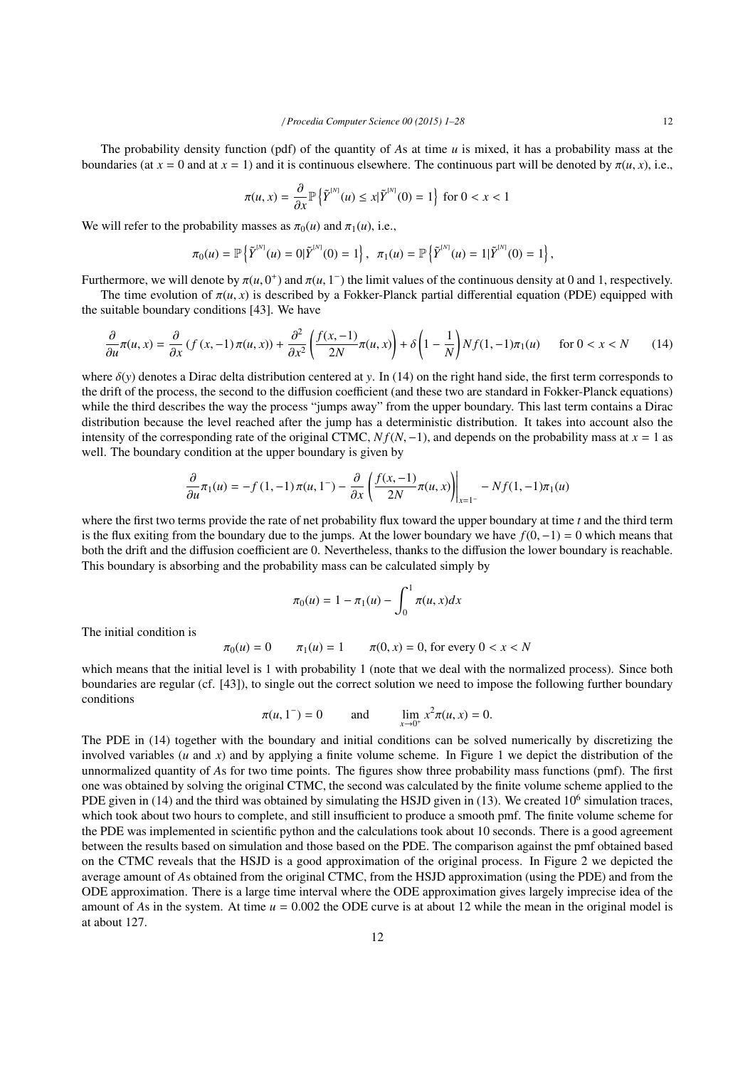The probability density function (pdf) of the quantity of *A*s at time *u* is mixed, it has a probability mass at the boundaries (at  $x = 0$  and at  $x = 1$ ) and it is continuous elsewhere. The continuous part will be denoted by  $\pi(u, x)$ , i.e.,

$$
\pi(u, x) = \frac{\partial}{\partial x} \mathbb{P}\left\{\tilde{Y}^{[N]}(u) \leq x | \tilde{Y}^{[N]}(0) = 1\right\} \text{ for } 0 < x < 1
$$

We will refer to the probability masses as  $\pi_0(u)$  and  $\pi_1(u)$ , i.e.,

$$
\pi_0(u) = \mathbb{P}\left\{\tilde{Y}^{[N]}(u) = 0 | \tilde{Y}^{[N]}(0) = 1\right\}, \ \ \pi_1(u) = \mathbb{P}\left\{\tilde{Y}^{[N]}(u) = 1 | \tilde{Y}^{[N]}(0) = 1\right\},\
$$

Furthermore, we will denote by  $\pi(u, 0^+)$  and  $\pi(u, 1^-)$  the limit values of the continuous density at 0 and 1, respectively.<br>The time evolution of  $\pi(u, x)$  is described by a Fokker-Planck partial differential equation (

The time evolution of  $\pi(u, x)$  is described by a Fokker-Planck partial differential equation (PDE) equipped with the suitable boundary conditions [43]. We have

$$
\frac{\partial}{\partial u}\pi(u,x) = \frac{\partial}{\partial x}\left(f(x,-1)\pi(u,x)\right) + \frac{\partial^2}{\partial x^2}\left(\frac{f(x,-1)}{2N}\pi(u,x)\right) + \delta\left(1-\frac{1}{N}\right)Nf(1,-1)\pi_1(u) \quad \text{for } 0 < x < N \tag{14}
$$

where  $\delta(y)$  denotes a Dirac delta distribution centered at *y*. In (14) on the right hand side, the first term corresponds to the drift of the process, the second to the diffusion coefficient (and these two are standard in Fokker-Planck equations) while the third describes the way the process "jumps away" from the upper boundary. This last term contains a Dirac distribution because the level reached after the jump has a deterministic distribution. It takes into account also the intensity of the corresponding rate of the original CTMC,  $N_f(N, -1)$ , and depends on the probability mass at  $x = 1$  as well. The boundary condition at the upper boundary is given by

$$
\frac{\partial}{\partial u}\pi_1(u) = -f(1,-1)\pi(u,1^{-}) - \frac{\partial}{\partial x}\left(\frac{f(x,-1)}{2N}\pi(u,x)\right)\Big|_{x=1^{-}} - Nf(1,-1)\pi_1(u)
$$

where the first two terms provide the rate of net probability flux toward the upper boundary at time *t* and the third term is the flux exiting from the boundary due to the jumps. At the lower boundary we have *<sup>f</sup>*(0, <sup>−</sup>1) <sup>=</sup> 0 which means that both the drift and the diffusion coefficient are 0. Nevertheless, thanks to the diffusion the lower boundary is reachable. This boundary is absorbing and the probability mass can be calculated simply by

$$
\pi_0(u) = 1 - \pi_1(u) - \int_0^1 \pi(u, x) dx
$$

The initial condition is

$$
\pi_0(u) = 0
$$
  $\pi_1(u) = 1$   $\pi(0, x) = 0$ , for every  $0 < x < N$ 

which means that the initial level is 1 with probability 1 (note that we deal with the normalized process). Since both boundaries are regular (cf. [43]), to single out the correct solution we need to impose the following further boundary conditions

$$
\pi(u, 1^{-}) = 0
$$
 and  $\lim_{x \to 0^{+}} x^{2} \pi(u, x) = 0.$ 

The PDE in (14) together with the boundary and initial conditions can be solved numerically by discretizing the involved variables (*u* and *x*) and by applying a finite volume scheme. In Figure 1 we depict the distribution of the unnormalized quantity of *A*s for two time points. The figures show three probability mass functions (pmf). The first one was obtained by solving the original CTMC, the second was calculated by the finite volume scheme applied to the PDE given in  $(14)$  and the third was obtained by simulating the HSJD given in  $(13)$ . We created  $10<sup>6</sup>$  simulation traces, which took about two hours to complete, and still insufficient to produce a smooth pmf. The finite volume scheme for the PDE was implemented in scientific python and the calculations took about 10 seconds. There is a good agreement between the results based on simulation and those based on the PDE. The comparison against the pmf obtained based on the CTMC reveals that the HSJD is a good approximation of the original process. In Figure 2 we depicted the average amount of *A*s obtained from the original CTMC, from the HSJD approximation (using the PDE) and from the ODE approximation. There is a large time interval where the ODE approximation gives largely imprecise idea of the amount of As in the system. At time  $u = 0.002$  the ODE curve is at about 12 while the mean in the original model is at about 127.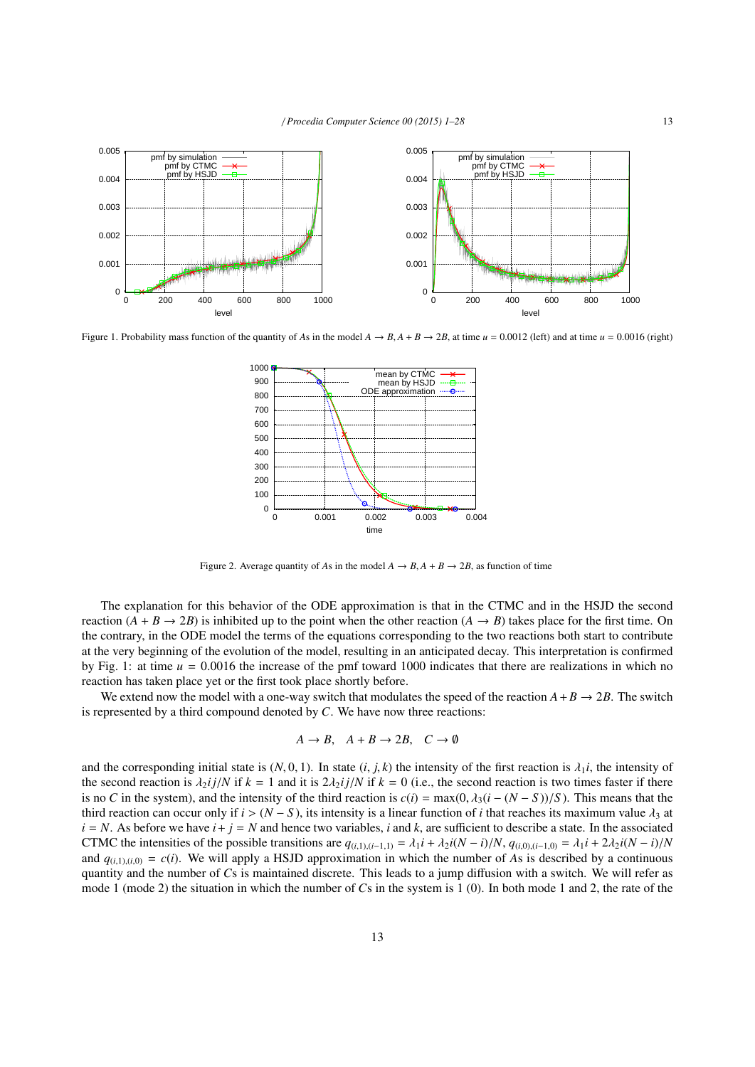

Figure 1. Probability mass function of the quantity of *A*s in the model  $A \rightarrow B$ ,  $A + B \rightarrow 2B$ , at time  $u = 0.0012$  (left) and at time  $u = 0.0016$  (right)



Figure 2. Average quantity of *As* in the model  $A \rightarrow B$ ,  $A + B \rightarrow 2B$ , as function of time

The explanation for this behavior of the ODE approximation is that in the CTMC and in the HSJD the second reaction  $(A + B \rightarrow 2B)$  is inhibited up to the point when the other reaction  $(A \rightarrow B)$  takes place for the first time. On the contrary, in the ODE model the terms of the equations corresponding to the two reactions both start to contribute at the very beginning of the evolution of the model, resulting in an anticipated decay. This interpretation is confirmed by Fig. 1: at time  $u = 0.0016$  the increase of the pmf toward 1000 indicates that there are realizations in which no reaction has taken place yet or the first took place shortly before.

We extend now the model with a one-way switch that modulates the speed of the reaction  $A + B \rightarrow 2B$ . The switch is represented by a third compound denoted by *C*. We have now three reactions:

$$
A \to B, \quad A + B \to 2B, \quad C \to \emptyset
$$

and the corresponding initial state is  $(N, 0, 1)$ . In state  $(i, j, k)$  the intensity of the first reaction is  $\lambda_1 i$ , the intensity of the second reaction is  $\lambda_2 i j/N$  if  $k = 1$  and it is  $2\lambda_2 i j/N$  if  $k = 0$  (i.e., the second reaction is two times faster if there is no *C* in the system), and the intensity of the third reaction is  $c(i) = \max(0, \lambda_3(i - (N - S))/S)$ . This means that the third reaction can occur only if  $i > (N - S)$ , its intensity is a linear function of *i* that reaches its maximum value  $\lambda_3$  at  $i = N$ . As before we have  $i + j = N$  and hence two variables, *i* and *k*, are sufficient to describe a state. In the associated CTMC the intensities of the possible transitions are  $q_{(i,1),(i-1,1)} = \lambda_1 i + \lambda_2 i(N-i)/N$ ,  $q_{(i,0),(i-1,0)} = \lambda_1 i + 2\lambda_2 i(N-i)/N$ and  $q_{(i,1),(i,0)} = c(i)$ . We will apply a HSJD approximation in which the number of As is described by a continuous quantity and the number of *C*s is maintained discrete. This leads to a jump diffusion with a switch. We will refer as mode 1 (mode 2) the situation in which the number of *C*s in the system is 1 (0). In both mode 1 and 2, the rate of the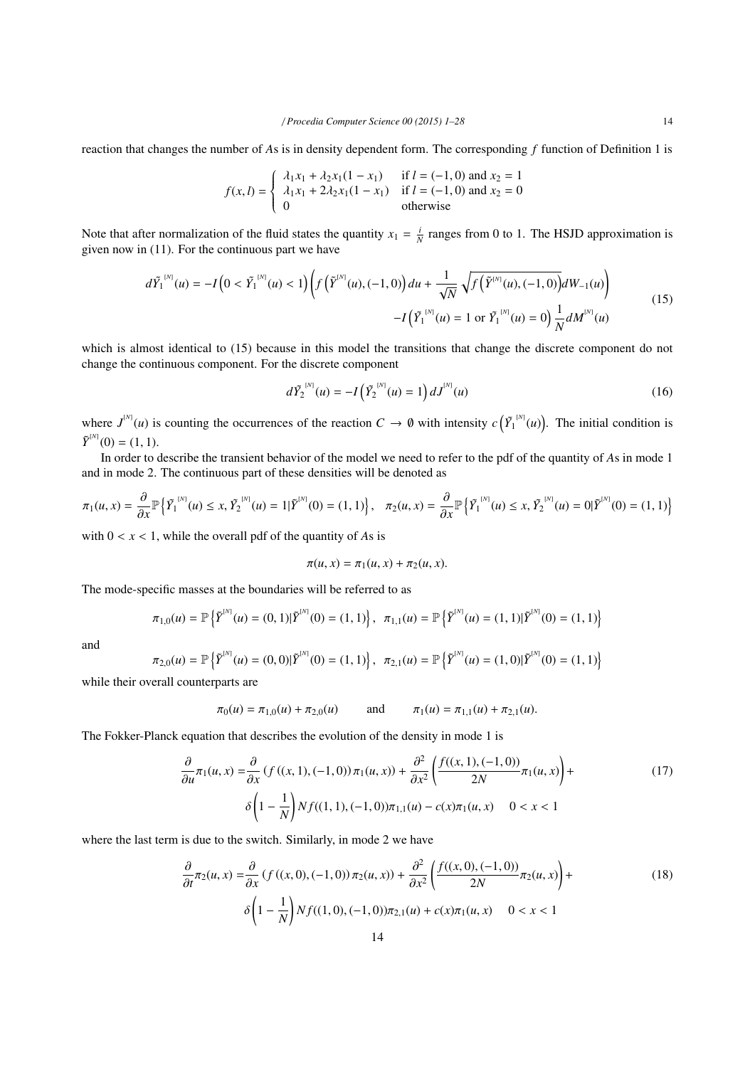reaction that changes the number of *A*s is in density dependent form. The corresponding *f* function of Definition 1 is

$$
f(x, l) = \begin{cases} \lambda_1 x_1 + \lambda_2 x_1 (1 - x_1) & \text{if } l = (-1, 0) \text{ and } x_2 = 1\\ \lambda_1 x_1 + 2\lambda_2 x_1 (1 - x_1) & \text{if } l = (-1, 0) \text{ and } x_2 = 0\\ 0 & \text{otherwise} \end{cases}
$$

Note that after normalization of the fluid states the quantity  $x_1 = \frac{i}{N}$  ranges from 0 to 1. The HSJD approximation is given now in (11). For the continuous part we have

$$
d\tilde{Y}_1^{[N]}(u) = -I\left(0 < \tilde{Y}_1^{[N]}(u) < 1\right) \left(f\left(\tilde{Y}^{[N]}(u), (-1,0)\right)du + \frac{1}{\sqrt{N}}\sqrt{f\left(\tilde{Y}^{[N]}(u), (-1,0)\right)}dW_{-1}(u)\right) \\
-I\left(\tilde{Y}_1^{[N]}(u) = 1 \text{ or } \tilde{Y}_1^{[N]}(u) = 0\right)\frac{1}{N}dM^{[N]}(u) \tag{15}
$$

which is almost identical to (15) because in this model the transitions that change the discrete component do not change the continuous component. For the discrete component

$$
d\tilde{Y}_2^{^{[N]}}(u) = -I(\tilde{Y}_2^{^{[N]}}(u) = 1)dJ^{^{[N]}}(u)
$$
\n(16)

where  $J^{(N)}(u)$  is counting the occurrences of the reaction  $C \to \emptyset$  with intensity  $c(\tilde{Y}_1^{(N)}(u))$ . The initial condition is  $\tilde{Y}^{[N]}(0) = (1, 1).$ <br>In order to a

In order to describe the transient behavior of the model we need to refer to the pdf of the quantity of *A*s in mode 1 and in mode 2. The continuous part of these densities will be denoted as

$$
\pi_1(u,x) = \frac{\partial}{\partial x} \mathbb{P} \left\{ \tilde{Y}_1^{[N]}(u) \le x, \tilde{Y}_2^{[N]}(u) = 1 | \tilde{Y}^{[N]}(0) = (1,1) \right\}, \quad \pi_2(u,x) = \frac{\partial}{\partial x} \mathbb{P} \left\{ \tilde{Y}_1^{[N]}(u) \le x, \tilde{Y}_2^{[N]}(u) = 0 | \tilde{Y}^{[N]}(0) = (1,1) \right\}
$$

with  $0 < x < 1$ , while the overall pdf of the quantity of As is

$$
\pi(u, x) = \pi_1(u, x) + \pi_2(u, x).
$$

The mode-specific masses at the boundaries will be referred to as

$$
\pi_{1,0}(u) = \mathbb{P}\left{\{ \tilde{Y}^{^{[N]}}(u) = (0,1)| \tilde{Y}^{^{[N]}}(0) = (1,1) \right\}, \ \ \pi_{1,1}(u) = \mathbb{P}\left{\{ \tilde{Y}^{^{[N]}}(u) = (1,1)| \tilde{Y}^{^{[N]}}(0) = (1,1) \right\}
$$

and

$$
\pi_{2,0}(u) = \mathbb{P}\left\{\tilde{Y}^{^{[N]}}(u) = (0,0)|\tilde{Y}^{^{[N]}}(0) = (1,1)\right\}, \quad \pi_{2,1}(u) = \mathbb{P}\left\{\tilde{Y}^{^{[N]}}(u) = (1,0)|\tilde{Y}^{^{[N]}}(0) = (1,1)\right\}
$$

while their overall counterparts are

$$
\pi_0(u) = \pi_{1,0}(u) + \pi_{2,0}(u)
$$
 and  $\pi_1(u) = \pi_{1,1}(u) + \pi_{2,1}(u)$ .

The Fokker-Planck equation that describes the evolution of the density in mode 1 is

$$
\frac{\partial}{\partial u}\pi_1(u,x) = \frac{\partial}{\partial x}\left(f((x,1),(-1,0))\pi_1(u,x)\right) + \frac{\partial^2}{\partial x^2}\left(\frac{f((x,1),(-1,0))}{2N}\pi_1(u,x)\right) + \delta\left(1 - \frac{1}{N}\right)Nf((1,1),(-1,0))\pi_{1,1}(u) - c(x)\pi_1(u,x) \quad 0 < x < 1\tag{17}
$$

where the last term is due to the switch. Similarly, in mode 2 we have

$$
\frac{\partial}{\partial t}\pi_2(u,x) = \frac{\partial}{\partial x}\left(f((x,0),(-1,0))\pi_2(u,x)\right) + \frac{\partial^2}{\partial x^2}\left(\frac{f((x,0),(-1,0))}{2N}\pi_2(u,x)\right) + \delta\left(1 - \frac{1}{N}\right)Nf((1,0),(-1,0))\pi_{2,1}(u) + c(x)\pi_1(u,x) \quad 0 < x < 1
$$
\n(18)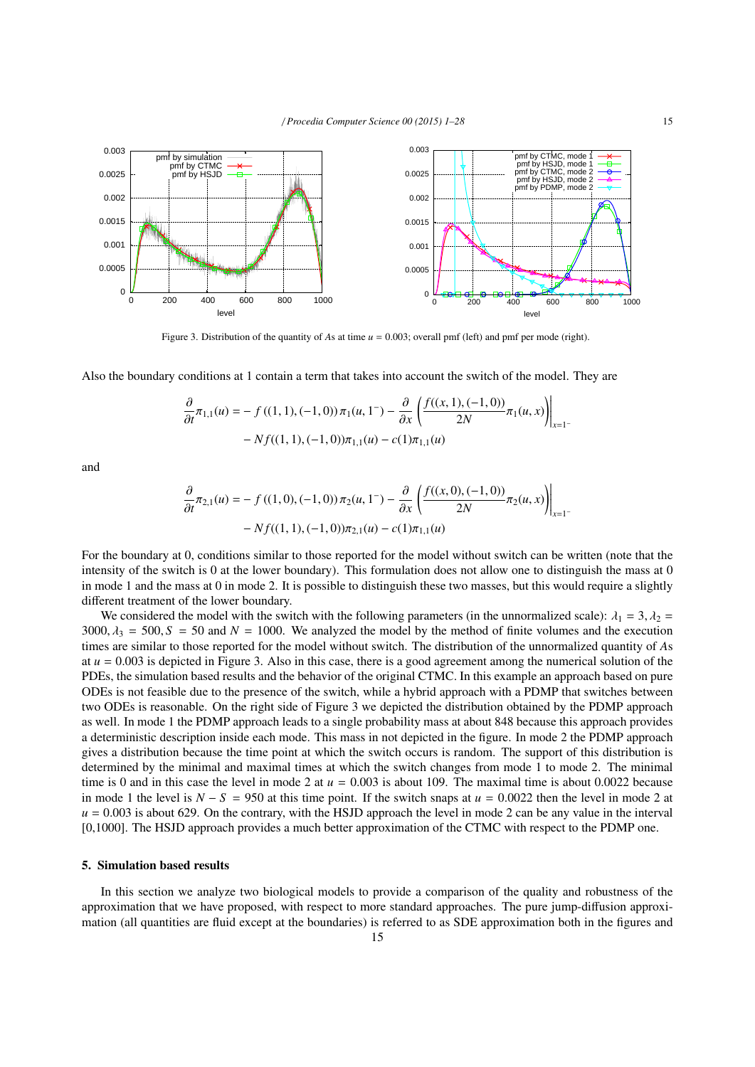

Figure 3. Distribution of the quantity of *As* at time  $u = 0.003$ ; overall pmf (left) and pmf per mode (right).

Also the boundary conditions at 1 contain a term that takes into account the switch of the model. They are

$$
\frac{\partial}{\partial t}\pi_{1,1}(u) = -f((1,1), (-1,0))\pi_1(u,1^-) - \frac{\partial}{\partial x}\left(\frac{f((x,1), (-1,0))}{2N}\pi_1(u,x)\right)\Big|_{x=1}
$$

$$
-Nf((1,1), (-1,0))\pi_{1,1}(u) - c(1)\pi_{1,1}(u)
$$

and

$$
\frac{\partial}{\partial t}\pi_{2,1}(u) = - f((1,0), (-1,0))\pi_2(u, 1^-) - \frac{\partial}{\partial x}\left(\frac{f((x,0), (-1,0))}{2N}\pi_2(u, x)\right)\Big|_{x=1^-}
$$

$$
- Nf((1,1), (-1,0))\pi_{2,1}(u) - c(1)\pi_{1,1}(u)
$$

For the boundary at 0, conditions similar to those reported for the model without switch can be written (note that the intensity of the switch is 0 at the lower boundary). This formulation does not allow one to distinguish the mass at 0 in mode 1 and the mass at 0 in mode 2. It is possible to distinguish these two masses, but this would require a slightly different treatment of the lower boundary.

We considered the model with the switch with the following parameters (in the unnormalized scale):  $\lambda_1 = 3$ ,  $\lambda_2 =$ 3000,  $\lambda_3 = 500$ ,  $S = 50$  and  $N = 1000$ . We analyzed the model by the method of finite volumes and the execution times are similar to those reported for the model without switch. The distribution of the unnormalized quantity of *A*s at  $u = 0.003$  is depicted in Figure 3. Also in this case, there is a good agreement among the numerical solution of the PDEs, the simulation based results and the behavior of the original CTMC. In this example an approach based on pure ODEs is not feasible due to the presence of the switch, while a hybrid approach with a PDMP that switches between two ODEs is reasonable. On the right side of Figure 3 we depicted the distribution obtained by the PDMP approach as well. In mode 1 the PDMP approach leads to a single probability mass at about 848 because this approach provides a deterministic description inside each mode. This mass in not depicted in the figure. In mode 2 the PDMP approach gives a distribution because the time point at which the switch occurs is random. The support of this distribution is determined by the minimal and maximal times at which the switch changes from mode 1 to mode 2. The minimal time is 0 and in this case the level in mode 2 at  $u = 0.003$  is about 109. The maximal time is about 0.0022 because in mode 1 the level is  $N - S = 950$  at this time point. If the switch snaps at  $u = 0.0022$  then the level in mode 2 at  $u = 0.003$  is about 629. On the contrary, with the HSJD approach the level in mode 2 can be any value in the interval [0,1000]. The HSJD approach provides a much better approximation of the CTMC with respect to the PDMP one.

## 5. Simulation based results

In this section we analyze two biological models to provide a comparison of the quality and robustness of the approximation that we have proposed, with respect to more standard approaches. The pure jump-diffusion approximation (all quantities are fluid except at the boundaries) is referred to as SDE approximation both in the figures and

−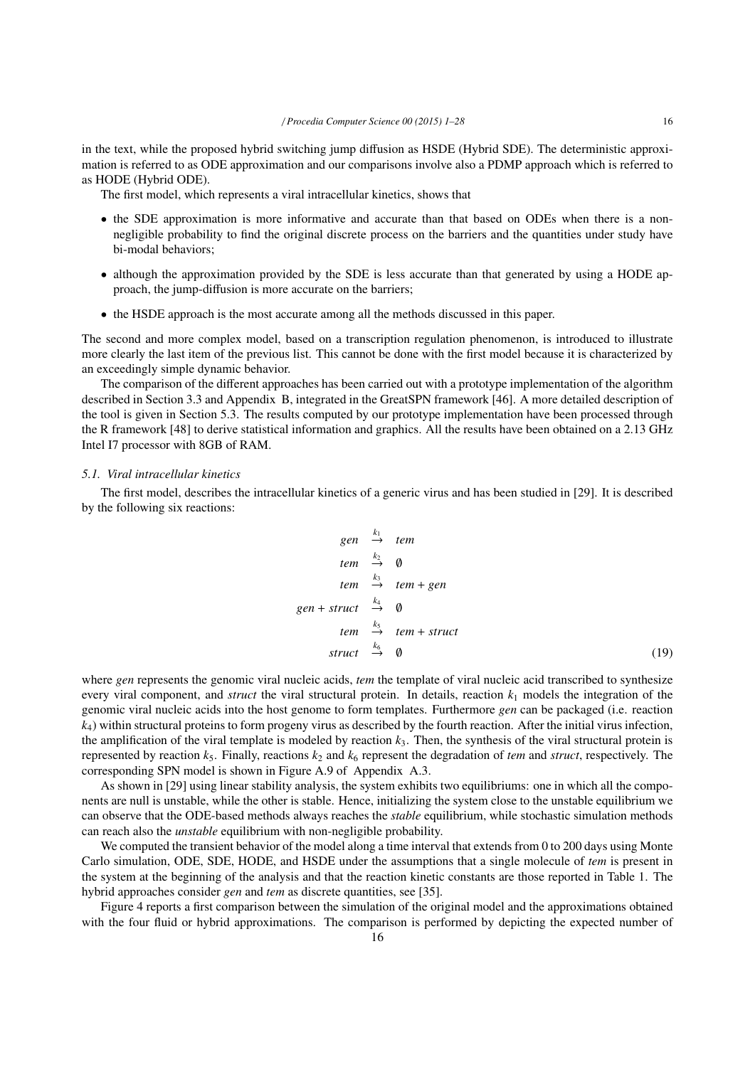in the text, while the proposed hybrid switching jump diffusion as HSDE (Hybrid SDE). The deterministic approximation is referred to as ODE approximation and our comparisons involve also a PDMP approach which is referred to as HODE (Hybrid ODE).

The first model, which represents a viral intracellular kinetics, shows that

- the SDE approximation is more informative and accurate than that based on ODEs when there is a nonnegligible probability to find the original discrete process on the barriers and the quantities under study have bi-modal behaviors;
- although the approximation provided by the SDE is less accurate than that generated by using a HODE approach, the jump-diffusion is more accurate on the barriers;
- the HSDE approach is the most accurate among all the methods discussed in this paper.

The second and more complex model, based on a transcription regulation phenomenon, is introduced to illustrate more clearly the last item of the previous list. This cannot be done with the first model because it is characterized by an exceedingly simple dynamic behavior.

The comparison of the different approaches has been carried out with a prototype implementation of the algorithm described in Section 3.3 and Appendix B, integrated in the GreatSPN framework [46]. A more detailed description of the tool is given in Section 5.3. The results computed by our prototype implementation have been processed through the R framework [48] to derive statistical information and graphics. All the results have been obtained on a 2.13 GHz Intel I7 processor with 8GB of RAM.

#### *5.1. Viral intracellular kinetics*

The first model, describes the intracellular kinetics of a generic virus and has been studied in [29]. It is described by the following six reactions:

$$
gen \xrightarrow{k_1} \ttem
$$
\n
$$
tem \xrightarrow{k_2} \t 0
$$
\n
$$
tem \xrightarrow{k_3} \ttem + gen
$$
\n
$$
gen + struct \xrightarrow{k_4} \t 0
$$
\n
$$
tem \xrightarrow{k_5} \ttem + struct
$$
\n
$$
struct \xrightarrow{k_6} \t 0
$$
\n(19)

where *gen* represents the genomic viral nucleic acids, *tem* the template of viral nucleic acid transcribed to synthesize every viral component, and *struct* the viral structural protein. In details, reaction  $k_1$  models the integration of the genomic viral nucleic acids into the host genome to form templates. Furthermore *gen* can be packaged (i.e. reaction  $k<sub>4</sub>$ ) within structural proteins to form progeny virus as described by the fourth reaction. After the initial virus infection, the amplification of the viral template is modeled by reaction *k*3. Then, the synthesis of the viral structural protein is represented by reaction  $k_5$ . Finally, reactions  $k_2$  and  $k_6$  represent the degradation of *tem* and *struct*, respectively. The corresponding SPN model is shown in Figure A.9 of Appendix A.3.

As shown in [29] using linear stability analysis, the system exhibits two equilibriums: one in which all the components are null is unstable, while the other is stable. Hence, initializing the system close to the unstable equilibrium we can observe that the ODE-based methods always reaches the *stable* equilibrium, while stochastic simulation methods can reach also the *unstable* equilibrium with non-negligible probability.

We computed the transient behavior of the model along a time interval that extends from 0 to 200 days using Monte Carlo simulation, ODE, SDE, HODE, and HSDE under the assumptions that a single molecule of *tem* is present in the system at the beginning of the analysis and that the reaction kinetic constants are those reported in Table 1. The hybrid approaches consider *gen* and *tem* as discrete quantities, see [35].

Figure 4 reports a first comparison between the simulation of the original model and the approximations obtained with the four fluid or hybrid approximations. The comparison is performed by depicting the expected number of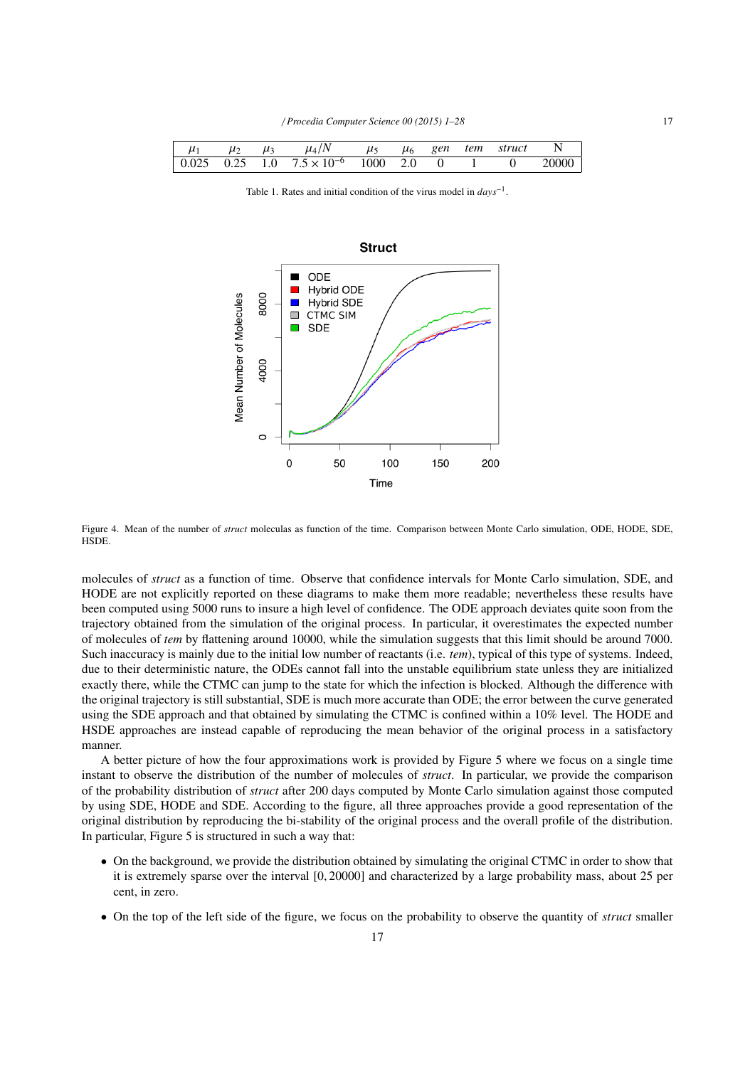| $\mu_1$ |  | $\mu_2$ $\mu_3$ $\mu_4/N$ $\mu_5$ $\mu_6$ gen tem struct N                                                   |  |  |  |
|---------|--|--------------------------------------------------------------------------------------------------------------|--|--|--|
|         |  | $\begin{array}{cccccc} 0.025 & 0.25 & 1.0 & 7.5 \times 10^{-6} & 1000 & 2.0 & 0 & 1 & 0 & 20000 \end{array}$ |  |  |  |
|         |  |                                                                                                              |  |  |  |

Table 1. Rates and initial condition of the virus model in *days*−<sup>1</sup> .



Figure 4. Mean of the number of *struct* moleculas as function of the time. Comparison between Monte Carlo simulation, ODE, HODE, SDE, **HSDE** 

molecules of *struct* as a function of time. Observe that confidence intervals for Monte Carlo simulation, SDE, and HODE are not explicitly reported on these diagrams to make them more readable; nevertheless these results have been computed using 5000 runs to insure a high level of confidence. The ODE approach deviates quite soon from the trajectory obtained from the simulation of the original process. In particular, it overestimates the expected number of molecules of *tem* by flattening around 10000, while the simulation suggests that this limit should be around 7000. Such inaccuracy is mainly due to the initial low number of reactants (i.e. *tem*), typical of this type of systems. Indeed, due to their deterministic nature, the ODEs cannot fall into the unstable equilibrium state unless they are initialized exactly there, while the CTMC can jump to the state for which the infection is blocked. Although the difference with the original trajectory is still substantial, SDE is much more accurate than ODE; the error between the curve generated using the SDE approach and that obtained by simulating the CTMC is confined within a 10% level. The HODE and HSDE approaches are instead capable of reproducing the mean behavior of the original process in a satisfactory manner.

A better picture of how the four approximations work is provided by Figure 5 where we focus on a single time instant to observe the distribution of the number of molecules of *struct*. In particular, we provide the comparison of the probability distribution of *struct* after 200 days computed by Monte Carlo simulation against those computed by using SDE, HODE and SDE. According to the figure, all three approaches provide a good representation of the original distribution by reproducing the bi-stability of the original process and the overall profile of the distribution. In particular, Figure 5 is structured in such a way that:

- On the background, we provide the distribution obtained by simulating the original CTMC in order to show that it is extremely sparse over the interval [0, 20000] and characterized by a large probability mass, about 25 per cent, in zero.
- On the top of the left side of the figure, we focus on the probability to observe the quantity of *struct* smaller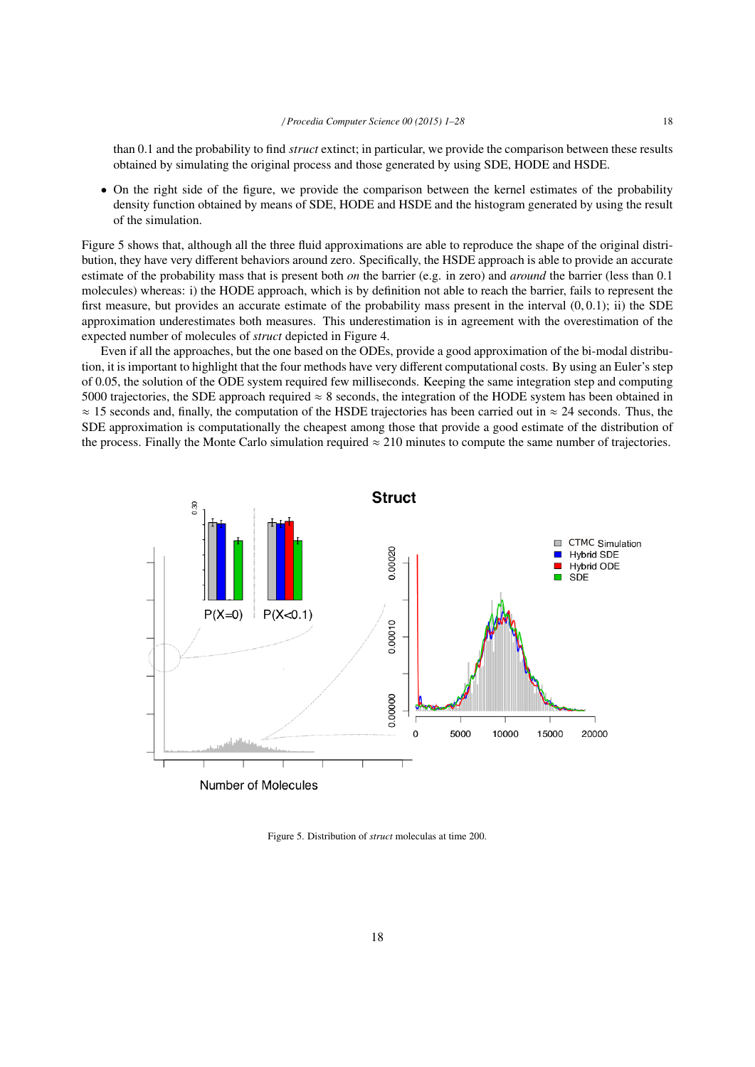than 0.1 and the probability to find *struct* extinct; in particular, we provide the comparison between these results obtained by simulating the original process and those generated by using SDE, HODE and HSDE.

• On the right side of the figure, we provide the comparison between the kernel estimates of the probability density function obtained by means of SDE, HODE and HSDE and the histogram generated by using the result of the simulation.

Figure 5 shows that, although all the three fluid approximations are able to reproduce the shape of the original distribution, they have very different behaviors around zero. Specifically, the HSDE approach is able to provide an accurate estimate of the probability mass that is present both *on* the barrier (e.g. in zero) and *around* the barrier (less than 0.1 molecules) whereas: i) the HODE approach, which is by definition not able to reach the barrier, fails to represent the first measure, but provides an accurate estimate of the probability mass present in the interval  $(0, 0.1)$ ; ii) the SDE approximation underestimates both measures. This underestimation is in agreement with the overestimation of the expected number of molecules of *struct* depicted in Figure 4.

Even if all the approaches, but the one based on the ODEs, provide a good approximation of the bi-modal distribution, it is important to highlight that the four methods have very different computational costs. By using an Euler's step of 0.05, the solution of the ODE system required few milliseconds. Keeping the same integration step and computing 5000 trajectories, the SDE approach required  $\approx 8$  seconds, the integration of the HODE system has been obtained in  $\approx$  15 seconds and, finally, the computation of the HSDE trajectories has been carried out in  $\approx$  24 seconds. Thus, the SDE approximation is computationally the cheapest among those that provide a good estimate of the distribution of the process. Finally the Monte Carlo simulation required  $\approx 210$  minutes to compute the same number of trajectories.



Figure 5. Distribution of *struct* moleculas at time 200.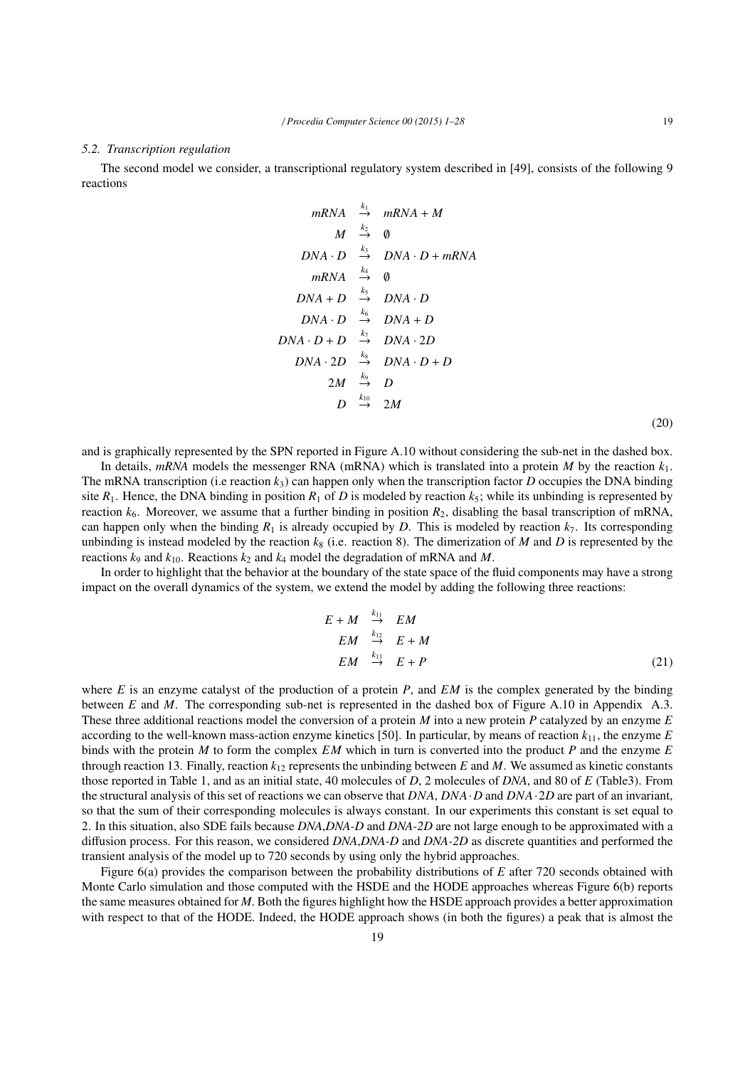#### *5.2. Transcription regulation*

The second model we consider, a transcriptional regulatory system described in [49], consists of the following 9 reactions

> *mRNA*  $mRNA + M$ *M*  $\stackrel{k_2}{\rightarrow} 0$  $DNA \cdot D \stackrel{k_3}{\rightarrow} DNA \cdot D + mRNA$  $mRNA \rightarrow \emptyset$  $DNA + D \stackrel{k_5}{\rightarrow} DNA \cdot D$  $DNA \cdot D \stackrel{k_6}{\rightarrow} DNA + D$  $DNA \cdot D + D \stackrel{k_7}{\rightarrow} DNA \cdot 2D$ *DNA* · 2*D*  $\stackrel{k_8}{\rightarrow}$  *DNA* · *D* + *D* 2*M*  $\stackrel{k_9}{\rightarrow}$  *D D*  $k_{10}$  2*M*

(20)

and is graphically represented by the SPN reported in Figure A.10 without considering the sub-net in the dashed box.

In details, *mRNA* models the messenger RNA (mRNA) which is translated into a protein *M* by the reaction  $k_1$ . The mRNA transcription (i.e reaction  $k_3$ ) can happen only when the transcription factor *D* occupies the DNA binding site  $R_1$ . Hence, the DNA binding in position  $R_1$  of *D* is modeled by reaction  $k_5$ ; while its unbinding is represented by reaction  $k_6$ . Moreover, we assume that a further binding in position  $R_2$ , disabling the basal transcription of mRNA, can happen only when the binding  $R_1$  is already occupied by *D*. This is modeled by reaction  $k_7$ . Its corresponding unbinding is instead modeled by the reaction  $k_8$  (i.e. reaction 8). The dimerization of *M* and *D* is represented by the reactions  $k_9$  and  $k_{10}$ . Reactions  $k_2$  and  $k_4$  model the degradation of mRNA and *M*.

In order to highlight that the behavior at the boundary of the state space of the fluid components may have a strong impact on the overall dynamics of the system, we extend the model by adding the following three reactions:

$$
E + M \stackrel{k_{11}}{\rightarrow} EM
$$
  
\n
$$
EM \stackrel{k_{12}}{\rightarrow} E + M
$$
  
\n
$$
EM \stackrel{k_{13}}{\rightarrow} E + P
$$
 (21)

where *E* is an enzyme catalyst of the production of a protein *P*, and *EM* is the complex generated by the binding between *E* and *M*. The corresponding sub-net is represented in the dashed box of Figure A.10 in Appendix A.3. These three additional reactions model the conversion of a protein *M* into a new protein *P* catalyzed by an enzyme *E* according to the well-known mass-action enzyme kinetics [50]. In particular, by means of reaction  $k_{11}$ , the enzyme  $E$ binds with the protein *M* to form the complex *EM* which in turn is converted into the product *P* and the enzyme *E* through reaction 13. Finally, reaction  $k_{12}$  represents the unbinding between *E* and *M*. We assumed as kinetic constants those reported in Table 1, and as an initial state, 40 molecules of *D*, 2 molecules of *DNA*, and 80 of *E* (Table3). From the structural analysis of this set of reactions we can observe that *DNA*, *DNA*·*D* and *DNA*·2*D* are part of an invariant, so that the sum of their corresponding molecules is always constant. In our experiments this constant is set equal to 2. In this situation, also SDE fails because *DNA*,*DNA-D* and *DNA-2D* are not large enough to be approximated with a diffusion process. For this reason, we considered *DNA*,*DNA-D* and *DNA-2D* as discrete quantities and performed the transient analysis of the model up to 720 seconds by using only the hybrid approaches.

Figure 6(a) provides the comparison between the probability distributions of *E* after 720 seconds obtained with Monte Carlo simulation and those computed with the HSDE and the HODE approaches whereas Figure 6(b) reports the same measures obtained for *M*. Both the figures highlight how the HSDE approach provides a better approximation with respect to that of the HODE. Indeed, the HODE approach shows (in both the figures) a peak that is almost the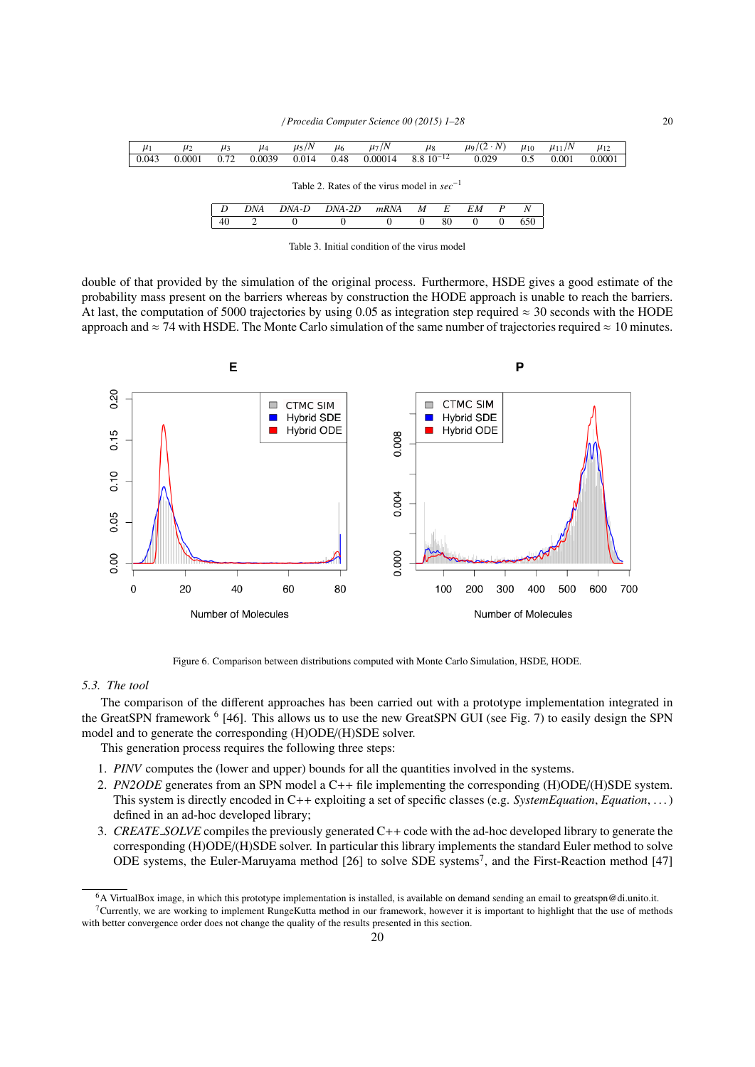| $8.8\ 10^{-12}$<br>0.029<br>0.0039<br>0.00014<br>0.043<br>0.0001<br>0.72<br>0.014<br>0.48<br>0.001<br>0.5 | 0.0001 |
|-----------------------------------------------------------------------------------------------------------|--------|
|                                                                                                           |        |
|                                                                                                           |        |
| Table 2. Rates of the virus model in $sec^{-1}$                                                           |        |
|                                                                                                           |        |
| DNA<br>DNA-D<br>N<br>DNA-2D<br>EМ<br>M<br>mRNA<br>E<br>P                                                  |        |
| 650<br>40<br>80<br>∍<br>$\Omega$<br>0<br>0                                                                |        |

Table 3. Initial condition of the virus model

double of that provided by the simulation of the original process. Furthermore, HSDE gives a good estimate of the probability mass present on the barriers whereas by construction the HODE approach is unable to reach the barriers. At last, the computation of 5000 trajectories by using 0.05 as integration step required  $\approx$  30 seconds with the HODE approach and  $\approx$  74 with HSDE. The Monte Carlo simulation of the same number of trajectories required  $\approx$  10 minutes.



Figure 6. Comparison between distributions computed with Monte Carlo Simulation, HSDE, HODE.

## *5.3. The tool*

The comparison of the different approaches has been carried out with a prototype implementation integrated in the GreatSPN framework <sup>6</sup> [46]. This allows us to use the new GreatSPN GUI (see Fig. 7) to easily design the SPN model and to generate the corresponding (H)ODE/(H)SDE solver.

This generation process requires the following three steps:

- 1. *PINV* computes the (lower and upper) bounds for all the quantities involved in the systems.
- 2. *PN2ODE* generates from an SPN model a C++ file implementing the corresponding (H)ODE/(H)SDE system. This system is directly encoded in C++ exploiting a set of specific classes (e.g. *SystemEquation*, *Equation*, . . . ) defined in an ad-hoc developed library;
- 3. *CREATE SOLVE* compiles the previously generated C++ code with the ad-hoc developed library to generate the corresponding (H)ODE/(H)SDE solver. In particular this library implements the standard Euler method to solve ODE systems, the Euler-Maruyama method [26] to solve SDE systems<sup>7</sup>, and the First-Reaction method [47]

<sup>6</sup>A VirtualBox image, in which this prototype implementation is installed, is available on demand sending an email to greatspn@di.unito.it. <sup>7</sup>Currently, we are working to implement RungeKutta method in our framework, however it is important to highlight that the use of methods

with better convergence order does not change the quality of the results presented in this section.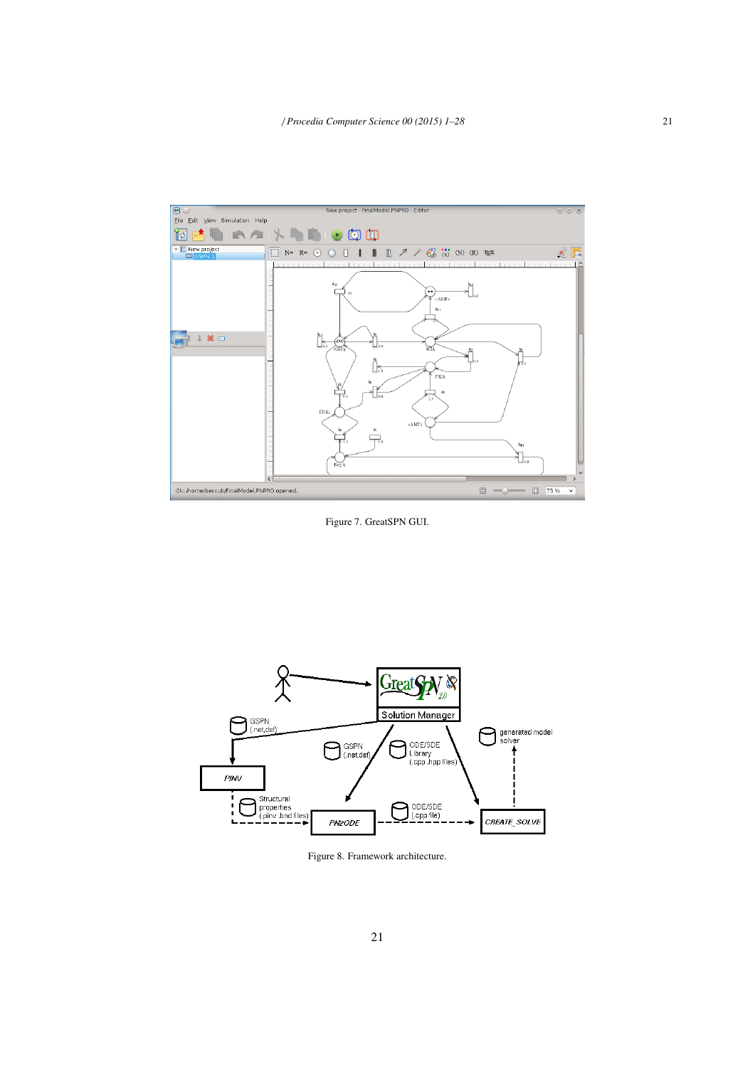

Figure 7. GreatSPN GUI.



Figure 8. Framework architecture.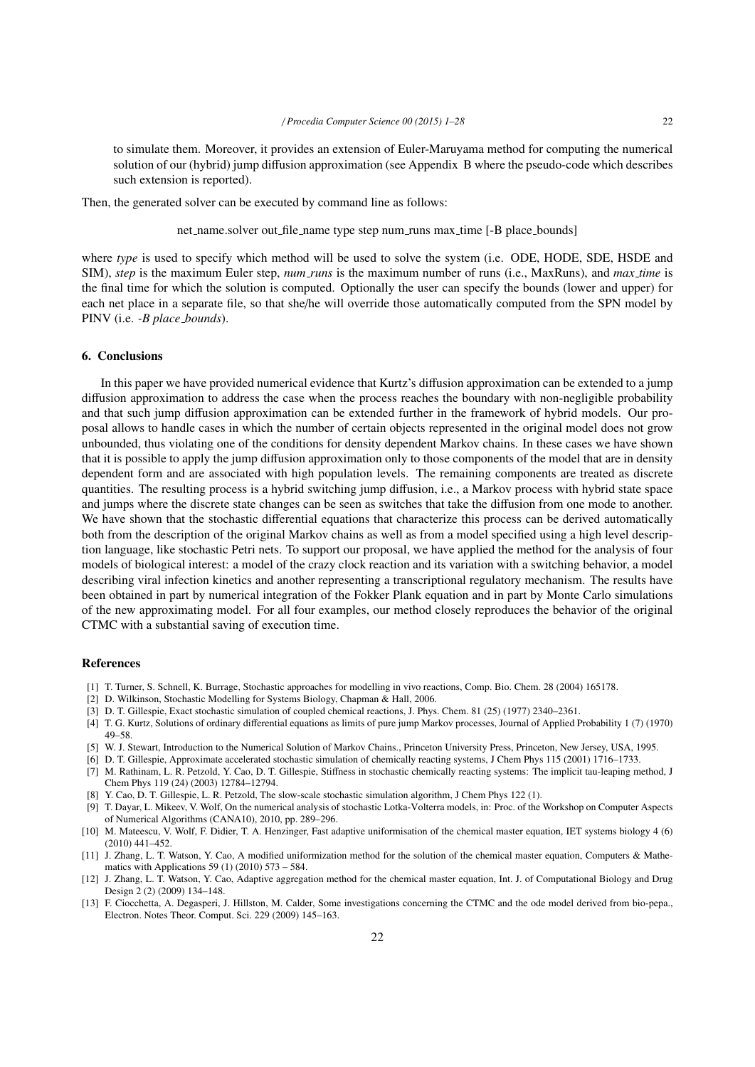to simulate them. Moreover, it provides an extension of Euler-Maruyama method for computing the numerical solution of our (hybrid) jump diffusion approximation (see Appendix B where the pseudo-code which describes such extension is reported).

Then, the generated solver can be executed by command line as follows:

net name.solver out file name type step num runs max time [-B place bounds]

where *type* is used to specify which method will be used to solve the system (i.e. ODE, HODE, SDE, HSDE and SIM), *step* is the maximum Euler step, *num runs* is the maximum number of runs (i.e., MaxRuns), and *max time* is the final time for which the solution is computed. Optionally the user can specify the bounds (lower and upper) for each net place in a separate file, so that she/he will override those automatically computed from the SPN model by PINV (i.e. *-B place bounds*).

# 6. Conclusions

In this paper we have provided numerical evidence that Kurtz's diffusion approximation can be extended to a jump diffusion approximation to address the case when the process reaches the boundary with non-negligible probability and that such jump diffusion approximation can be extended further in the framework of hybrid models. Our proposal allows to handle cases in which the number of certain objects represented in the original model does not grow unbounded, thus violating one of the conditions for density dependent Markov chains. In these cases we have shown that it is possible to apply the jump diffusion approximation only to those components of the model that are in density dependent form and are associated with high population levels. The remaining components are treated as discrete quantities. The resulting process is a hybrid switching jump diffusion, i.e., a Markov process with hybrid state space and jumps where the discrete state changes can be seen as switches that take the diffusion from one mode to another. We have shown that the stochastic differential equations that characterize this process can be derived automatically both from the description of the original Markov chains as well as from a model specified using a high level description language, like stochastic Petri nets. To support our proposal, we have applied the method for the analysis of four models of biological interest: a model of the crazy clock reaction and its variation with a switching behavior, a model describing viral infection kinetics and another representing a transcriptional regulatory mechanism. The results have been obtained in part by numerical integration of the Fokker Plank equation and in part by Monte Carlo simulations of the new approximating model. For all four examples, our method closely reproduces the behavior of the original CTMC with a substantial saving of execution time.

# References

- [1] T. Turner, S. Schnell, K. Burrage, Stochastic approaches for modelling in vivo reactions, Comp. Bio. Chem. 28 (2004) 165178.
- [2] D. Wilkinson, Stochastic Modelling for Systems Biology, Chapman & Hall, 2006.
- [3] D. T. Gillespie, Exact stochastic simulation of coupled chemical reactions, J. Phys. Chem. 81 (25) (1977) 2340–2361.
- [4] T. G. Kurtz, Solutions of ordinary differential equations as limits of pure jump Markov processes, Journal of Applied Probability 1 (7) (1970) 49–58.
- [5] W. J. Stewart, Introduction to the Numerical Solution of Markov Chains., Princeton University Press, Princeton, New Jersey, USA, 1995.
- [6] D. T. Gillespie, Approximate accelerated stochastic simulation of chemically reacting systems, J Chem Phys 115 (2001) 1716–1733.
- [7] M. Rathinam, L. R. Petzold, Y. Cao, D. T. Gillespie, Stiffness in stochastic chemically reacting systems: The implicit tau-leaping method, J Chem Phys 119 (24) (2003) 12784–12794.
- [8] Y. Cao, D. T. Gillespie, L. R. Petzold, The slow-scale stochastic simulation algorithm, J Chem Phys 122 (1).
- [9] T. Dayar, L. Mikeev, V. Wolf, On the numerical analysis of stochastic Lotka-Volterra models, in: Proc. of the Workshop on Computer Aspects of Numerical Algorithms (CANA10), 2010, pp. 289–296.
- [10] M. Mateescu, V. Wolf, F. Didier, T. A. Henzinger, Fast adaptive uniformisation of the chemical master equation, IET systems biology 4 (6) (2010) 441–452.
- [11] J. Zhang, L. T. Watson, Y. Cao, A modified uniformization method for the solution of the chemical master equation, Computers & Mathematics with Applications 59 (1) (2010) 573 – 584.
- [12] J. Zhang, L. T. Watson, Y. Cao, Adaptive aggregation method for the chemical master equation, Int. J. of Computational Biology and Drug Design 2 (2) (2009) 134–148.
- [13] F. Ciocchetta, A. Degasperi, J. Hillston, M. Calder, Some investigations concerning the CTMC and the ode model derived from bio-pepa., Electron. Notes Theor. Comput. Sci. 229 (2009) 145–163.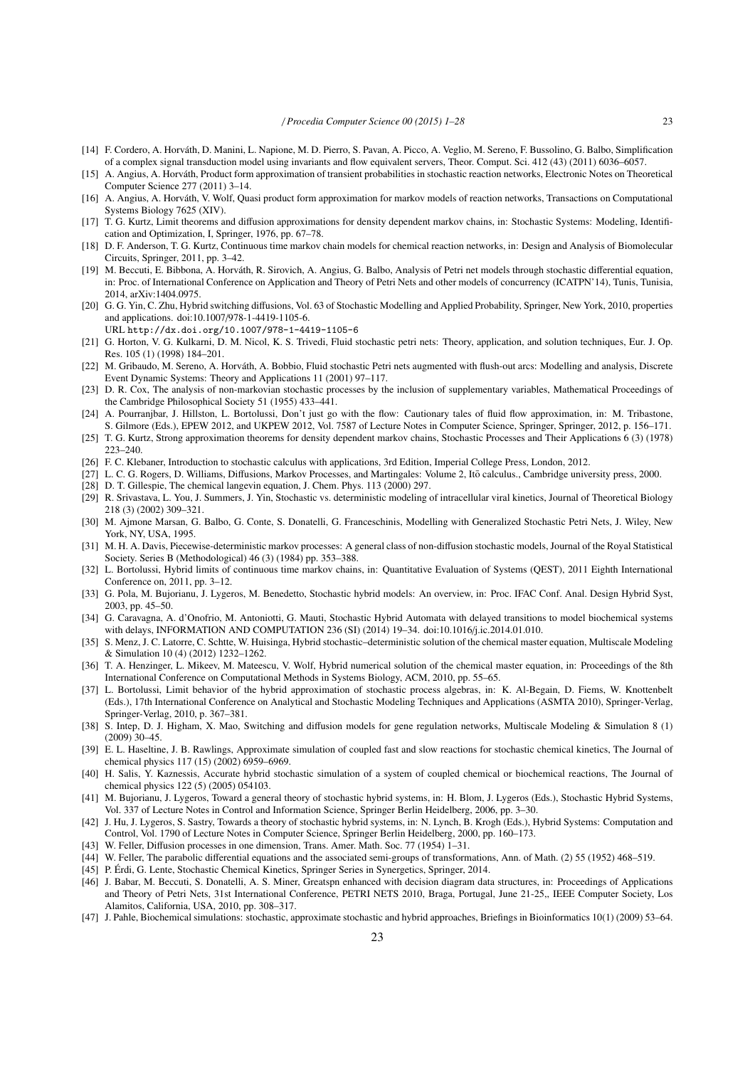- [14] F. Cordero, A. Horvath, D. Manini, L. Napione, M. D. Pierro, S. Pavan, A. Picco, A. Veglio, M. Sereno, F. Bussolino, G. Balbo, Simplification ´ of a complex signal transduction model using invariants and flow equivalent servers, Theor. Comput. Sci. 412 (43) (2011) 6036–6057.
- [15] A. Angius, A. Horvath, Product form approximation of transient probabilities in stochastic reaction networks, Electronic Notes on Theoretical ´ Computer Science 277 (2011) 3–14.
- [16] A. Angius, A. Horváth, V. Wolf, Quasi product form approximation for markov models of reaction networks, Transactions on Computational Systems Biology 7625 (XIV).
- [17] T. G. Kurtz, Limit theorems and diffusion approximations for density dependent markov chains, in: Stochastic Systems: Modeling, Identification and Optimization, I, Springer, 1976, pp. 67–78.
- [18] D. F. Anderson, T. G. Kurtz, Continuous time markov chain models for chemical reaction networks, in: Design and Analysis of Biomolecular Circuits, Springer, 2011, pp. 3–42.
- [19] M. Beccuti, E. Bibbona, A. Horváth, R. Sirovich, A. Angius, G. Balbo, Analysis of Petri net models through stochastic differential equation, in: Proc. of International Conference on Application and Theory of Petri Nets and other models of concurrency (ICATPN'14), Tunis, Tunisia, 2014, arXiv:1404.0975.
- [20] G. G. Yin, C. Zhu, Hybrid switching diffusions, Vol. 63 of Stochastic Modelling and Applied Probability, Springer, New York, 2010, properties and applications. doi:10.1007/978-1-4419-1105-6.
	- URL http://dx.doi.org/10.1007/978-1-4419-1105-6
- [21] G. Horton, V. G. Kulkarni, D. M. Nicol, K. S. Trivedi, Fluid stochastic petri nets: Theory, application, and solution techniques, Eur. J. Op. Res. 105 (1) (1998) 184–201.
- [22] M. Gribaudo, M. Sereno, A. Horvath, A. Bobbio, Fluid stochastic Petri nets augmented with flush-out arcs: Modelling and analysis, Discrete ´ Event Dynamic Systems: Theory and Applications 11 (2001) 97–117.
- [23] D. R. Cox, The analysis of non-markovian stochastic processes by the inclusion of supplementary variables, Mathematical Proceedings of the Cambridge Philosophical Society 51 (1955) 433–441.
- [24] A. Pourranjbar, J. Hillston, L. Bortolussi, Don't just go with the flow: Cautionary tales of fluid flow approximation, in: M. Tribastone,
- S. Gilmore (Eds.), EPEW 2012, and UKPEW 2012, Vol. 7587 of Lecture Notes in Computer Science, Springer, Springer, 2012, p. 156–171. [25] T. G. Kurtz, Strong approximation theorems for density dependent markov chains, Stochastic Processes and Their Applications 6 (3) (1978) 223–240.
- [26] F. C. Klebaner, Introduction to stochastic calculus with applications, 3rd Edition, Imperial College Press, London, 2012.
- [27] L. C. G. Rogers, D. Williams, Diffusions, Markov Processes, and Martingales: Volume 2, Itō calculus., Cambridge university press, 2000.
- [28] D. T. Gillespie, The chemical langevin equation, J. Chem. Phys. 113 (2000) 297.
- [29] R. Srivastava, L. You, J. Summers, J. Yin, Stochastic vs. deterministic modeling of intracellular viral kinetics, Journal of Theoretical Biology 218 (3) (2002) 309–321.
- [30] M. Ajmone Marsan, G. Balbo, G. Conte, S. Donatelli, G. Franceschinis, Modelling with Generalized Stochastic Petri Nets, J. Wiley, New York, NY, USA, 1995.
- [31] M. H. A. Davis, Piecewise-deterministic markov processes: A general class of non-diffusion stochastic models, Journal of the Royal Statistical Society. Series B (Methodological) 46 (3) (1984) pp. 353–388.
- [32] L. Bortolussi, Hybrid limits of continuous time markov chains, in: Quantitative Evaluation of Systems (QEST), 2011 Eighth International Conference on, 2011, pp. 3–12.
- [33] G. Pola, M. Bujorianu, J. Lygeros, M. Benedetto, Stochastic hybrid models: An overview, in: Proc. IFAC Conf. Anal. Design Hybrid Syst, 2003, pp. 45–50.
- [34] G. Caravagna, A. d'Onofrio, M. Antoniotti, G. Mauti, Stochastic Hybrid Automata with delayed transitions to model biochemical systems with delays, INFORMATION AND COMPUTATION 236 (SI) (2014) 19–34. doi:10.1016/j.ic.2014.01.010.
- [35] S. Menz, J. C. Latorre, C. Schtte, W. Huisinga, Hybrid stochastic–deterministic solution of the chemical master equation, Multiscale Modeling & Simulation 10 (4) (2012) 1232–1262.
- [36] T. A. Henzinger, L. Mikeev, M. Mateescu, V. Wolf, Hybrid numerical solution of the chemical master equation, in: Proceedings of the 8th International Conference on Computational Methods in Systems Biology, ACM, 2010, pp. 55–65.
- [37] L. Bortolussi, Limit behavior of the hybrid approximation of stochastic process algebras, in: K. Al-Begain, D. Fiems, W. Knottenbelt (Eds.), 17th International Conference on Analytical and Stochastic Modeling Techniques and Applications (ASMTA 2010), Springer-Verlag, Springer-Verlag, 2010, p. 367–381.
- [38] S. Intep, D. J. Higham, X. Mao, Switching and diffusion models for gene regulation networks, Multiscale Modeling & Simulation 8 (1) (2009) 30–45.
- [39] E. L. Haseltine, J. B. Rawlings, Approximate simulation of coupled fast and slow reactions for stochastic chemical kinetics, The Journal of chemical physics 117 (15) (2002) 6959–6969.
- [40] H. Salis, Y. Kaznessis, Accurate hybrid stochastic simulation of a system of coupled chemical or biochemical reactions, The Journal of chemical physics 122 (5) (2005) 054103.
- [41] M. Bujorianu, J. Lygeros, Toward a general theory of stochastic hybrid systems, in: H. Blom, J. Lygeros (Eds.), Stochastic Hybrid Systems, Vol. 337 of Lecture Notes in Control and Information Science, Springer Berlin Heidelberg, 2006, pp. 3–30.
- [42] J. Hu, J. Lygeros, S. Sastry, Towards a theory of stochastic hybrid systems, in: N. Lynch, B. Krogh (Eds.), Hybrid Systems: Computation and Control, Vol. 1790 of Lecture Notes in Computer Science, Springer Berlin Heidelberg, 2000, pp. 160–173.
- [43] W. Feller, Diffusion processes in one dimension, Trans. Amer. Math. Soc. 77 (1954) 1–31.
- [44] W. Feller, The parabolic differential equations and the associated semi-groups of transformations, Ann. of Math. (2) 55 (1952) 468–519.
- [45] P. Erdi, G. Lente, Stochastic Chemical Kinetics, Springer Series in Synergetics, Springer, 2014. ´
- [46] J. Babar, M. Beccuti, S. Donatelli, A. S. Miner, Greatspn enhanced with decision diagram data structures, in: Proceedings of Applications and Theory of Petri Nets, 31st International Conference, PETRI NETS 2010, Braga, Portugal, June 21-25,, IEEE Computer Society, Los Alamitos, California, USA, 2010, pp. 308–317.
- [47] J. Pahle, Biochemical simulations: stochastic, approximate stochastic and hybrid approaches, Briefings in Bioinformatics 10(1) (2009) 53–64.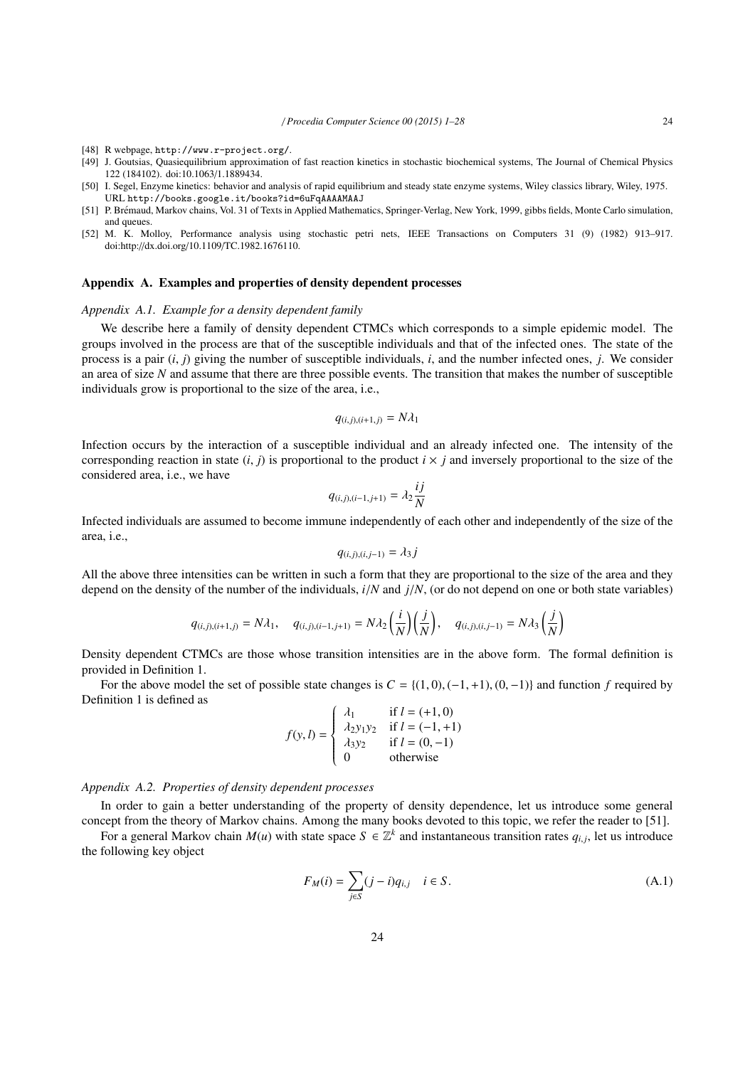- [48] R webpage, http://www.r-project.org/.
- [49] J. Goutsias, Quasiequilibrium approximation of fast reaction kinetics in stochastic biochemical systems, The Journal of Chemical Physics 122 (184102). doi:10.1063/1.1889434.
- [50] I. Segel, Enzyme kinetics: behavior and analysis of rapid equilibrium and steady state enzyme systems, Wiley classics library, Wiley, 1975. URL http://books.google.it/books?id=6uFqAAAAMAAJ
- [51] P. Bremaud, Markov chains, Vol. 31 of Texts in Applied Mathematics, Springer-Verlag, New York, 1999, gibbs fields, Monte Carlo simulation, ´ and queues.
- [52] M. K. Molloy, Performance analysis using stochastic petri nets, IEEE Transactions on Computers 31 (9) (1982) 913–917. doi:http://dx.doi.org/10.1109/TC.1982.1676110.

## Appendix A. Examples and properties of density dependent processes

## *Appendix A.1. Example for a density dependent family*

We describe here a family of density dependent CTMCs which corresponds to a simple epidemic model. The groups involved in the process are that of the susceptible individuals and that of the infected ones. The state of the process is a pair (*i*, *<sup>j</sup>*) giving the number of susceptible individuals, *<sup>i</sup>*, and the number infected ones, *<sup>j</sup>*. We consider an area of size *N* and assume that there are three possible events. The transition that makes the number of susceptible individuals grow is proportional to the size of the area, i.e.,

$$
q_{(i,j),(i+1,j)} = N\lambda_1
$$

Infection occurs by the interaction of a susceptible individual and an already infected one. The intensity of the corresponding reaction in state  $(i, j)$  is proportional to the product  $i \times j$  and inversely proportional to the size of the considered area, i.e., we have

$$
q_{(i,j),(i-1,j+1)} = \lambda_2 \frac{ij}{N}
$$

Infected individuals are assumed to become immune independently of each other and independently of the size of the area, i.e.,

$$
q_{(i,j),(i,j-1)}=\lambda_3 j
$$

All the above three intensities can be written in such a form that they are proportional to the size of the area and they depend on the density of the number of the individuals, *<sup>i</sup>*/*<sup>N</sup>* and *<sup>j</sup>*/*N*, (or do not depend on one or both state variables)

$$
q_{(i,j),(i+1,j)} = N\lambda_1, \quad q_{(i,j),(i-1,j+1)} = N\lambda_2 \left(\frac{i}{N}\right) \left(\frac{j}{N}\right), \quad q_{(i,j),(i,j-1)} = N\lambda_3 \left(\frac{j}{N}\right)
$$

Density dependent CTMCs are those whose transition intensities are in the above form. The formal definition is provided in Definition 1.

For the above model the set of possible state changes is  $C = \{(1,0), (-1,+1), (0,-1)\}\$  and function *f* required by Definition 1 is defined as

$$
f(y, l) = \begin{cases} \n\lambda_1 & \text{if } l = (+1, 0) \\ \n\lambda_2 y_1 y_2 & \text{if } l = (-1, +1) \\ \n\lambda_3 y_2 & \text{if } l = (0, -1) \\ \n0 & \text{otherwise} \n\end{cases}
$$

#### *Appendix A.2. Properties of density dependent processes*

In order to gain a better understanding of the property of density dependence, let us introduce some general concept from the theory of Markov chains. Among the many books devoted to this topic, we refer the reader to [51].

For a general Markov chain  $M(u)$  with state space  $S \in \mathbb{Z}^k$  and instantaneous transition rates  $q_{i,j}$ , let us introduce following low chiest. the following key object

$$
F_M(i) = \sum_{j \in S} (j - i) q_{i,j} \quad i \in S.
$$
 (A.1)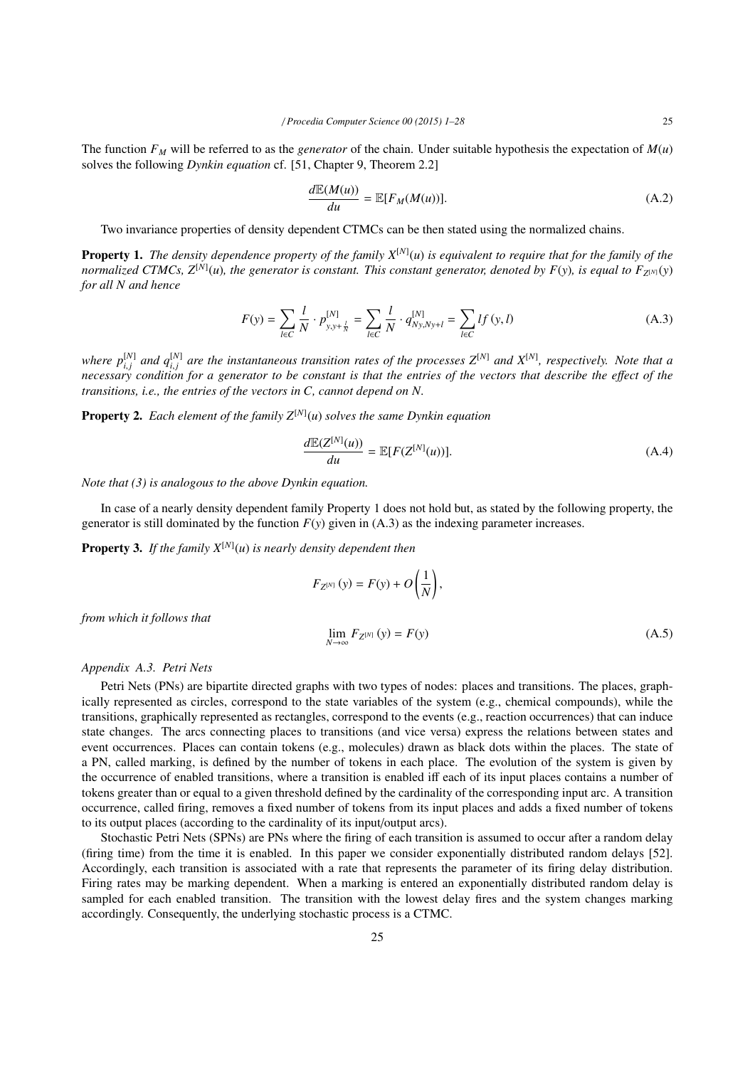The function  $F_M$  will be referred to as the *generator* of the chain. Under suitable hypothesis the expectation of  $M(u)$ solves the following *Dynkin equation* cf. [51, Chapter 9, Theorem 2.2]

$$
\frac{d\mathbb{E}(M(u))}{du} = \mathbb{E}[F_M(M(u))].\tag{A.2}
$$

Two invariance properties of density dependent CTMCs can be then stated using the normalized chains.

Property 1. *The density dependence property of the family X*[*N*] (*u*) *is equivalent to require that for the family of the normalized CTMCs, Z*[*N*] (*u*)*, the generator is constant. This constant generator, denoted by F*(*y*)*, is equal to F<sup>Z</sup>* [*N*] (*y*) *for all N and hence*

$$
F(y) = \sum_{l \in C} \frac{l}{N} \cdot p_{y, y + \frac{l}{N}}^{[N]} = \sum_{l \in C} \frac{l}{N} \cdot q_{Ny, Ny + l}^{[N]} = \sum_{l \in C} l f(y, l)
$$
 (A.3)

*where*  $p_{i,i}^{[N]}$  and  $q_{i,i}^{[N]}$  are the instantaneous transition rates of the processes  $Z^{[N]}$  and  $X^{[N]}$ , respectively. Note that a *i*, *j* and  $q_{i,j}$  are the instantaneous transmon rates of the processes  $Z$  and  $X$ , respectively. Frote that deprocessary condition for a generator to be constant is that the entries of the vectors that describe the e *transitions, i.e., the entries of the vectors in C, cannot depend on N.*

Property 2. *Each element of the family Z*[*N*] (*u*) *solves the same Dynkin equation*

$$
\frac{d\mathbb{E}(Z^{[N]}(u))}{du} = \mathbb{E}[F(Z^{[N]}(u))].
$$
\n(A.4)

*Note that (3) is analogous to the above Dynkin equation.*

In case of a nearly density dependent family Property 1 does not hold but, as stated by the following property, the generator is still dominated by the function  $F(y)$  given in  $(A.3)$  as the indexing parameter increases.

Property 3. *If the family X*[*N*] (*u*) *is nearly density dependent then*

$$
F_{Z^{[N]}}(y) = F(y) + O\left(\frac{1}{N}\right),
$$
  

$$
\lim_{N \to \infty} F_{Z^{[N]}}(y) = F(y)
$$
 (A.5)

*from which it follows that*

#### *Appendix A.3. Petri Nets*

Petri Nets (PNs) are bipartite directed graphs with two types of nodes: places and transitions. The places, graphically represented as circles, correspond to the state variables of the system (e.g., chemical compounds), while the transitions, graphically represented as rectangles, correspond to the events (e.g., reaction occurrences) that can induce state changes. The arcs connecting places to transitions (and vice versa) express the relations between states and event occurrences. Places can contain tokens (e.g., molecules) drawn as black dots within the places. The state of a PN, called marking, is defined by the number of tokens in each place. The evolution of the system is given by the occurrence of enabled transitions, where a transition is enabled iff each of its input places contains a number of tokens greater than or equal to a given threshold defined by the cardinality of the corresponding input arc. A transition occurrence, called firing, removes a fixed number of tokens from its input places and adds a fixed number of tokens to its output places (according to the cardinality of its input/output arcs).

Stochastic Petri Nets (SPNs) are PNs where the firing of each transition is assumed to occur after a random delay (firing time) from the time it is enabled. In this paper we consider exponentially distributed random delays [52]. Accordingly, each transition is associated with a rate that represents the parameter of its firing delay distribution. Firing rates may be marking dependent. When a marking is entered an exponentially distributed random delay is sampled for each enabled transition. The transition with the lowest delay fires and the system changes marking accordingly. Consequently, the underlying stochastic process is a CTMC.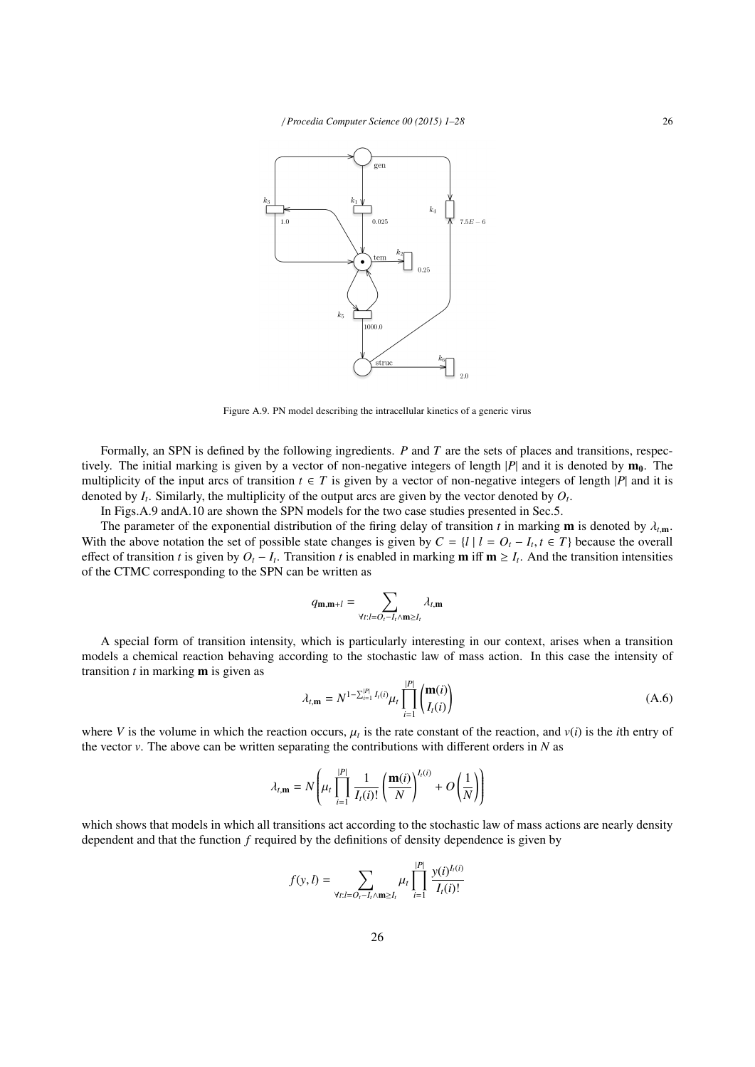

Figure A.9. PN model describing the intracellular kinetics of a generic virus

Formally, an SPN is defined by the following ingredients. *P* and *T* are the sets of places and transitions, respectively. The initial marking is given by a vector of non-negative integers of length  $|P|$  and it is denoted by  $m_0$ . The multiplicity of the input arcs of transition  $t \in T$  is given by a vector of non-negative integers of length |*P*| and it is denoted by  $I_t$ . Similarly, the multiplicity of the output arcs are given by the vector denoted by  $O_t$ .

In Figs.A.9 andA.10 are shown the SPN models for the two case studies presented in Sec.5.

The parameter of the exponential distribution of the firing delay of transition *t* in marking **m** is denoted by  $\lambda_{t,m}$ . With the above notation the set of possible state changes is given by  $C = \{l | l = O_t - I_t, t \in T\}$  because the overall effect of transition *t* is given by  $O = I$ . Transition *t* is enabled in marking **m** iff **m** > *I*. And the effect of transition *t* is given by  $O_t - I_t$ . Transition *t* is enabled in marking **m** iff **m**  $\geq I_t$ . And the transition intensities of the CTMC corresponding to the SPN can be written as

$$
q_{\mathbf{m},\mathbf{m}+l} = \sum_{\forall t:l=O_t-I_t \wedge \mathbf{m}\geq I_t} \lambda_{t,\mathbf{m}}
$$

A special form of transition intensity, which is particularly interesting in our context, arises when a transition models a chemical reaction behaving according to the stochastic law of mass action. In this case the intensity of transition *t* in marking m is given as

$$
\lambda_{t,m} = N^{1-\sum_{i=1}^{|P|} I_i(i)} \mu_t \prod_{i=1}^{|P|} \binom{\mathbf{m}(i)}{I_i(i)}
$$
(A.6)

where *V* is the volume in which the reaction occurs,  $\mu_t$  is the rate constant of the reaction, and  $v(i)$  is the *i*th entry of the vector *v*. The above can be written separating the contributions with different orders the vector  $\nu$ . The above can be written separating the contributions with different orders in *N* as

$$
\lambda_{t,\mathbf{m}} = N\left(\mu_t \prod_{i=1}^{|P|} \frac{1}{I_t(i)!} \left(\frac{\mathbf{m}(i)}{N}\right)^{I_t(i)} + O\left(\frac{1}{N}\right)\right)
$$

which shows that models in which all transitions act according to the stochastic law of mass actions are nearly density dependent and that the function *f* required by the definitions of density dependence is given by

$$
f(y, l) = \sum_{\forall t: l = O_l - I_l \wedge \mathbf{m} \geq I_l} \mu_t \prod_{i=1}^{|P|} \frac{y(i)^{I_l(i)}}{I_l(i)!}
$$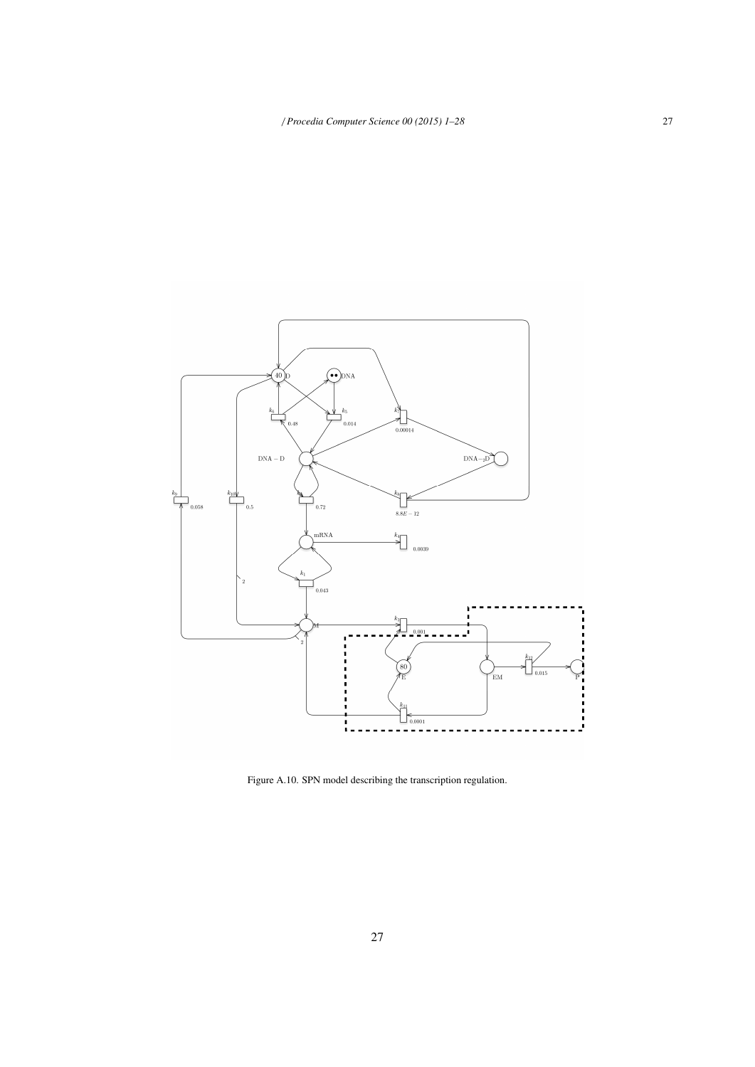

Figure A.10. SPN model describing the transcription regulation.